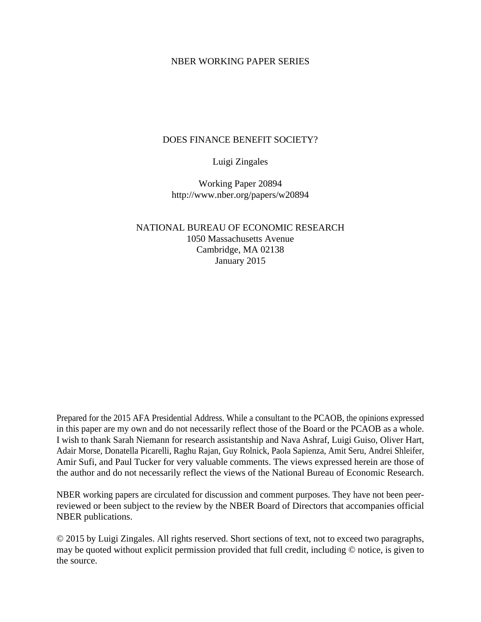# NBER WORKING PAPER SERIES

# DOES FINANCE BENEFIT SOCIETY?

Luigi Zingales

Working Paper 20894 http://www.nber.org/papers/w20894

NATIONAL BUREAU OF ECONOMIC RESEARCH 1050 Massachusetts Avenue Cambridge, MA 02138 January 2015

Prepared for the 2015 AFA Presidential Address. While a consultant to the PCAOB, the opinions expressed in this paper are my own and do not necessarily reflect those of the Board or the PCAOB as a whole. I wish to thank Sarah Niemann for research assistantship and Nava Ashraf, Luigi Guiso, Oliver Hart, Adair Morse, Donatella Picarelli, Raghu Rajan, Guy Rolnick, Paola Sapienza, Amit Seru, Andrei Shleifer, Amir Sufi, and Paul Tucker for very valuable comments. The views expressed herein are those of the author and do not necessarily reflect the views of the National Bureau of Economic Research.

NBER working papers are circulated for discussion and comment purposes. They have not been peerreviewed or been subject to the review by the NBER Board of Directors that accompanies official NBER publications.

© 2015 by Luigi Zingales. All rights reserved. Short sections of text, not to exceed two paragraphs, may be quoted without explicit permission provided that full credit, including © notice, is given to the source.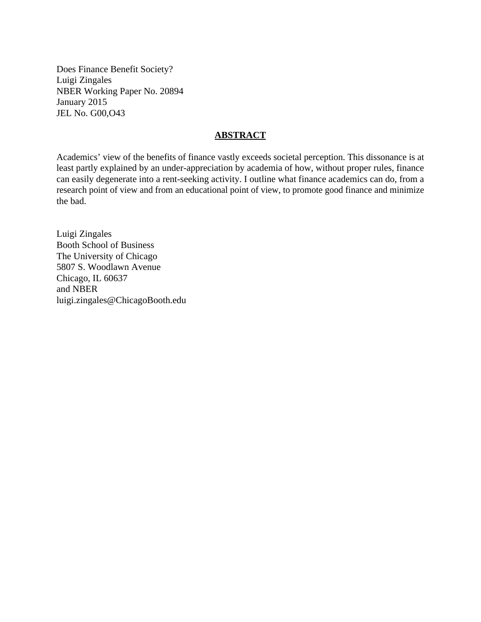Does Finance Benefit Society? Luigi Zingales NBER Working Paper No. 20894 January 2015 JEL No. G00,O43

# **ABSTRACT**

Academics' view of the benefits of finance vastly exceeds societal perception. This dissonance is at least partly explained by an under-appreciation by academia of how, without proper rules, finance can easily degenerate into a rent-seeking activity. I outline what finance academics can do, from a research point of view and from an educational point of view, to promote good finance and minimize the bad.

Luigi Zingales Booth School of Business The University of Chicago 5807 S. Woodlawn Avenue Chicago, IL 60637 and NBER luigi.zingales@ChicagoBooth.edu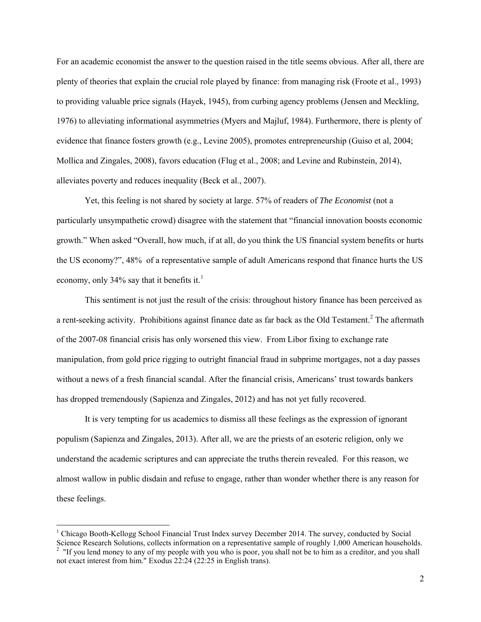For an academic economist the answer to the question raised in the title seems obvious. After all, there are plenty of theories that explain the crucial role played by finance: from managing risk (Froote et al., 1993) to providing valuable price signals (Hayek, 1945), from curbing agency problems (Jensen and Meckling, 1976) to alleviating informational asymmetries (Myers and Majluf, 1984). Furthermore, there is plenty of evidence that finance fosters growth (e.g., Levine 2005), promotes entrepreneurship (Guiso et al, 2004; Mollica and Zingales, 2008), favors education (Flug et al., 2008; and Levine and Rubinstein, 2014), alleviates poverty and reduces inequality (Beck et al., 2007).

Yet, this feeling is not shared by society at large. 57% of readers of *The Economist* (not a particularly unsympathetic crowd) disagree with the statement that "financial innovation boosts economic growth." When asked "Overall, how much, if at all, do you think the US financial system benefits or hurts the US economy?", 48% of a representative sample of adult Americans respond that finance hurts the US economy, only 34% say that it benefits it.<sup>[1](#page-32-0)</sup>

This sentiment is not just the result of the crisis: throughout history finance has been perceived as a rent-seeking activity. Prohibitions against finance date as far back as the Old Testament.<sup>[2](#page-2-0)</sup> The aftermath of the 2007-08 financial crisis has only worsened this view. From Libor fixing to exchange rate manipulation, from gold price rigging to outright financial fraud in subprime mortgages, not a day passes without a news of a fresh financial scandal. After the financial crisis, Americans' trust towards bankers has dropped tremendously (Sapienza and Zingales, 2012) and has not yet fully recovered.

It is very tempting for us academics to dismiss all these feelings as the expression of ignorant populism (Sapienza and Zingales, 2013). After all, we are the priests of an esoteric religion, only we understand the academic scriptures and can appreciate the truths therein revealed. For this reason, we almost wallow in public disdain and refuse to engage, rather than wonder whether there is any reason for these feelings.

<span id="page-2-0"></span>not exact interest from him." Exodus 22:24 (22:25 in English trans).

 $\overline{a}$ 

<sup>&</sup>lt;sup>1</sup> Chicago Booth-Kellogg School Financial Trust Index survey December 2014. The survey, conducted by Social Science Research Solutions, collects information on a representative sample of roughly 1,000 American households.<br><sup>2</sup> "If you lend money to any of my people with you who is poor, you shall not be to him as a creditor, and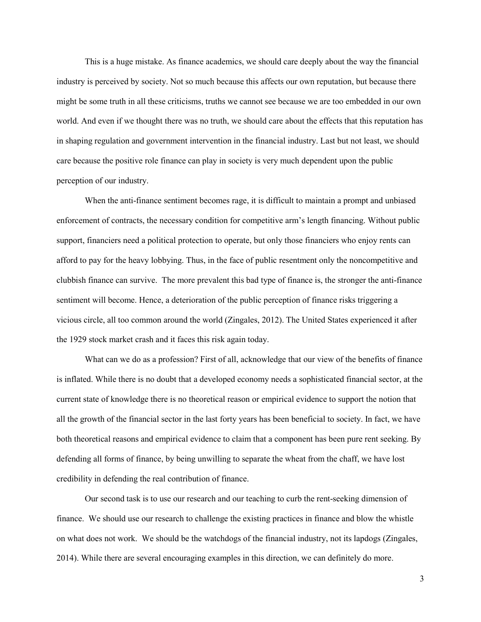This is a huge mistake. As finance academics, we should care deeply about the way the financial industry is perceived by society. Not so much because this affects our own reputation, but because there might be some truth in all these criticisms, truths we cannot see because we are too embedded in our own world. And even if we thought there was no truth, we should care about the effects that this reputation has in shaping regulation and government intervention in the financial industry. Last but not least, we should care because the positive role finance can play in society is very much dependent upon the public perception of our industry.

When the anti-finance sentiment becomes rage, it is difficult to maintain a prompt and unbiased enforcement of contracts, the necessary condition for competitive arm's length financing. Without public support, financiers need a political protection to operate, but only those financiers who enjoy rents can afford to pay for the heavy lobbying. Thus, in the face of public resentment only the noncompetitive and clubbish finance can survive. The more prevalent this bad type of finance is, the stronger the anti-finance sentiment will become. Hence, a deterioration of the public perception of finance risks triggering a vicious circle, all too common around the world (Zingales, 2012). The United States experienced it after the 1929 stock market crash and it faces this risk again today.

What can we do as a profession? First of all, acknowledge that our view of the benefits of finance is inflated. While there is no doubt that a developed economy needs a sophisticated financial sector, at the current state of knowledge there is no theoretical reason or empirical evidence to support the notion that all the growth of the financial sector in the last forty years has been beneficial to society. In fact, we have both theoretical reasons and empirical evidence to claim that a component has been pure rent seeking. By defending all forms of finance, by being unwilling to separate the wheat from the chaff, we have lost credibility in defending the real contribution of finance.

Our second task is to use our research and our teaching to curb the rent-seeking dimension of finance. We should use our research to challenge the existing practices in finance and blow the whistle on what does not work. We should be the watchdogs of the financial industry, not its lapdogs (Zingales, 2014). While there are several encouraging examples in this direction, we can definitely do more.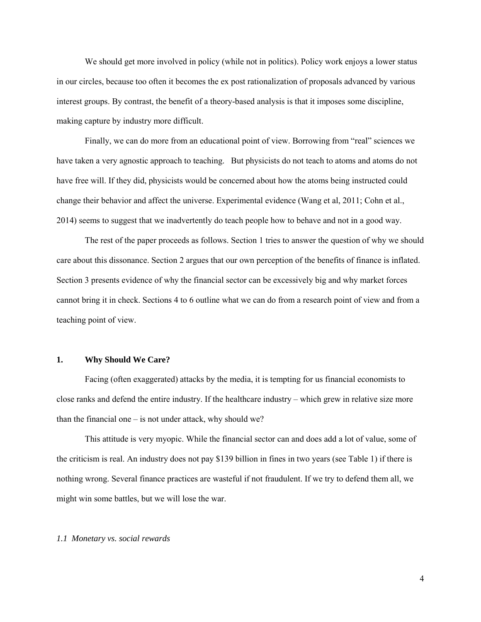We should get more involved in policy (while not in politics). Policy work enjoys a lower status in our circles, because too often it becomes the ex post rationalization of proposals advanced by various interest groups. By contrast, the benefit of a theory-based analysis is that it imposes some discipline, making capture by industry more difficult.

Finally, we can do more from an educational point of view. Borrowing from "real" sciences we have taken a very agnostic approach to teaching. But physicists do not teach to atoms and atoms do not have free will. If they did, physicists would be concerned about how the atoms being instructed could change their behavior and affect the universe. Experimental evidence (Wang et al, 2011; Cohn et al., 2014) seems to suggest that we inadvertently do teach people how to behave and not in a good way.

The rest of the paper proceeds as follows. Section 1 tries to answer the question of why we should care about this dissonance. Section 2 argues that our own perception of the benefits of finance is inflated. Section 3 presents evidence of why the financial sector can be excessively big and why market forces cannot bring it in check. Sections 4 to 6 outline what we can do from a research point of view and from a teaching point of view.

# **1. Why Should We Care?**

Facing (often exaggerated) attacks by the media, it is tempting for us financial economists to close ranks and defend the entire industry. If the healthcare industry – which grew in relative size more than the financial one – is not under attack, why should we?

This attitude is very myopic. While the financial sector can and does add a lot of value, some of the criticism is real. An industry does not pay \$139 billion in fines in two years (see Table 1) if there is nothing wrong. Several finance practices are wasteful if not fraudulent. If we try to defend them all, we might win some battles, but we will lose the war.

#### *1.1 Monetary vs. social rewards*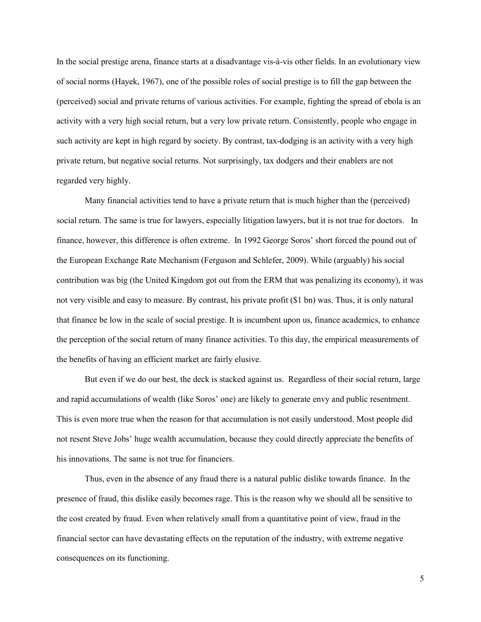In the social prestige arena, finance starts at a disadvantage vis-à-vis other fields. In an evolutionary view of social norms (Hayek, 1967), one of the possible roles of social prestige is to fill the gap between the (perceived) social and private returns of various activities. For example, fighting the spread of ebola is an activity with a very high social return, but a very low private return. Consistently, people who engage in such activity are kept in high regard by society. By contrast, tax-dodging is an activity with a very high private return, but negative social returns. Not surprisingly, tax dodgers and their enablers are not regarded very highly.

Many financial activities tend to have a private return that is much higher than the (perceived) social return. The same is true for lawyers, especially litigation lawyers, but it is not true for doctors. In finance, however, this difference is often extreme. In 1992 George Soros' short forced the pound out of the European Exchange Rate Mechanism (Ferguson and Schlefer, 2009). While (arguably) his social contribution was big (the United Kingdom got out from the ERM that was penalizing its economy), it was not very visible and easy to measure. By contrast, his private profit (\$1 bn) was. Thus, it is only natural that finance be low in the scale of social prestige. It is incumbent upon us, finance academics, to enhance the perception of the social return of many finance activities. To this day, the empirical measurements of the benefits of having an efficient market are fairly elusive.

But even if we do our best, the deck is stacked against us. Regardless of their social return, large and rapid accumulations of wealth (like Soros' one) are likely to generate envy and public resentment. This is even more true when the reason for that accumulation is not easily understood. Most people did not resent Steve Jobs' huge wealth accumulation, because they could directly appreciate the benefits of his innovations. The same is not true for financiers.

Thus, even in the absence of any fraud there is a natural public dislike towards finance. In the presence of fraud, this dislike easily becomes rage. This is the reason why we should all be sensitive to the cost created by fraud. Even when relatively small from a quantitative point of view, fraud in the financial sector can have devastating effects on the reputation of the industry, with extreme negative consequences on its functioning.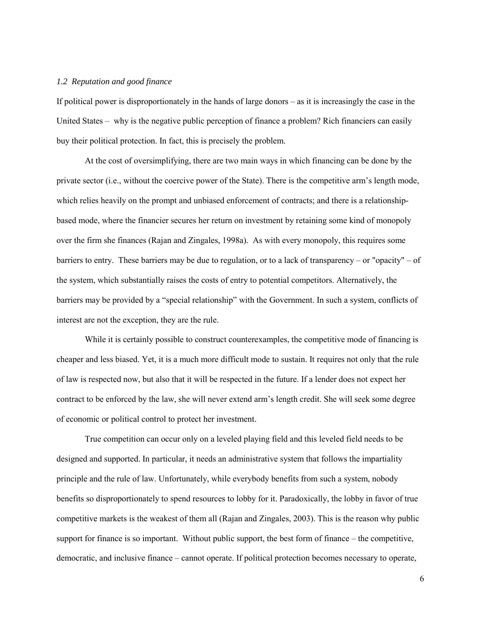#### *1.2 Reputation and good finance*

If political power is disproportionately in the hands of large donors – as it is increasingly the case in the United States – why is the negative public perception of finance a problem? Rich financiers can easily buy their political protection. In fact, this is precisely the problem.

At the cost of oversimplifying, there are two main ways in which financing can be done by the private sector (i.e., without the coercive power of the State). There is the competitive arm's length mode, which relies heavily on the prompt and unbiased enforcement of contracts; and there is a relationshipbased mode, where the financier secures her return on investment by retaining some kind of monopoly over the firm she finances (Rajan and Zingales, 1998a). As with every monopoly, this requires some barriers to entry. These barriers may be due to regulation, or to a lack of transparency – or "opacity" – of the system, which substantially raises the costs of entry to potential competitors. Alternatively, the barriers may be provided by a "special relationship" with the Government. In such a system, conflicts of interest are not the exception, they are the rule.

While it is certainly possible to construct counterexamples, the competitive mode of financing is cheaper and less biased. Yet, it is a much more difficult mode to sustain. It requires not only that the rule of law is respected now, but also that it will be respected in the future. If a lender does not expect her contract to be enforced by the law, she will never extend arm's length credit. She will seek some degree of economic or political control to protect her investment.

True competition can occur only on a leveled playing field and this leveled field needs to be designed and supported. In particular, it needs an administrative system that follows the impartiality principle and the rule of law. Unfortunately, while everybody benefits from such a system, nobody benefits so disproportionately to spend resources to lobby for it. Paradoxically, the lobby in favor of true competitive markets is the weakest of them all (Rajan and Zingales, 2003). This is the reason why public support for finance is so important. Without public support, the best form of finance – the competitive, democratic, and inclusive finance – cannot operate. If political protection becomes necessary to operate,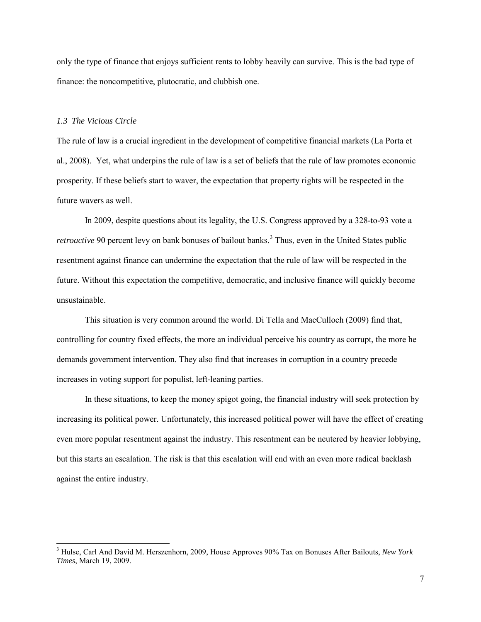only the type of finance that enjoys sufficient rents to lobby heavily can survive. This is the bad type of finance: the noncompetitive, plutocratic, and clubbish one.

# *1.3 The Vicious Circle*

 $\overline{a}$ 

The rule of law is a crucial ingredient in the development of competitive financial markets (La Porta et al., 2008). Yet, what underpins the rule of law is a set of beliefs that the rule of law promotes economic prosperity. If these beliefs start to waver, the expectation that property rights will be respected in the future wavers as well.

 In 2009, despite questions about its legality, the U.S. Congress approved by a 328-to-93 vote a *retroactive* 90 percent levy on bank bonuses of bailout banks.<sup>[3](#page-7-0)</sup> Thus, even in the United States public resentment against finance can undermine the expectation that the rule of law will be respected in the future. Without this expectation the competitive, democratic, and inclusive finance will quickly become unsustainable.

 This situation is very common around the world. Di Tella and MacCulloch (2009) find that, controlling for country fixed effects, the more an individual perceive his country as corrupt, the more he demands government intervention. They also find that increases in corruption in a country precede increases in voting support for populist, left-leaning parties.

In these situations, to keep the money spigot going, the financial industry will seek protection by increasing its political power. Unfortunately, this increased political power will have the effect of creating even more popular resentment against the industry. This resentment can be neutered by heavier lobbying, but this starts an escalation. The risk is that this escalation will end with an even more radical backlash against the entire industry.

<span id="page-7-0"></span><sup>3</sup> Hulse, Carl And David M. Herszenhorn, 2009, House Approves 90% Tax on Bonuses After Bailouts, *New York Times*, March 19, 2009.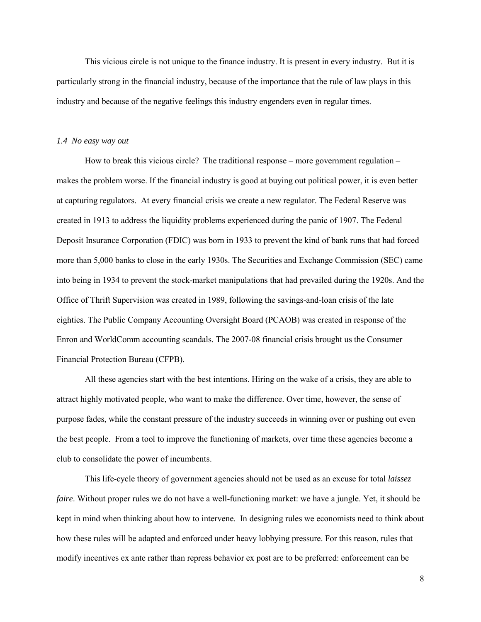This vicious circle is not unique to the finance industry. It is present in every industry. But it is particularly strong in the financial industry, because of the importance that the rule of law plays in this industry and because of the negative feelings this industry engenders even in regular times.

#### *1.4 No easy way out*

How to break this vicious circle? The traditional response – more government regulation – makes the problem worse. If the financial industry is good at buying out political power, it is even better at capturing regulators. At every financial crisis we create a new regulator. The Federal Reserve was created in 1913 to address the liquidity problems experienced during the panic of 1907. The Federal Deposit Insurance Corporation (FDIC) was born in 1933 to prevent the kind of bank runs that had forced more than 5,000 banks to close in the early 1930s. The Securities and Exchange Commission (SEC) came into being in 1934 to prevent the stock-market manipulations that had prevailed during the 1920s. And the Office of Thrift Supervision was created in 1989, following the savings-and-loan crisis of the late eighties. The Public Company Accounting Oversight Board (PCAOB) was created in response of the Enron and WorldComm accounting scandals. The 2007-08 financial crisis brought us the Consumer Financial Protection Bureau (CFPB).

All these agencies start with the best intentions. Hiring on the wake of a crisis, they are able to attract highly motivated people, who want to make the difference. Over time, however, the sense of purpose fades, while the constant pressure of the industry succeeds in winning over or pushing out even the best people. From a tool to improve the functioning of markets, over time these agencies become a club to consolidate the power of incumbents.

 This life-cycle theory of government agencies should not be used as an excuse for total *laissez faire*. Without proper rules we do not have a well-functioning market: we have a jungle. Yet, it should be kept in mind when thinking about how to intervene. In designing rules we economists need to think about how these rules will be adapted and enforced under heavy lobbying pressure. For this reason, rules that modify incentives ex ante rather than repress behavior ex post are to be preferred: enforcement can be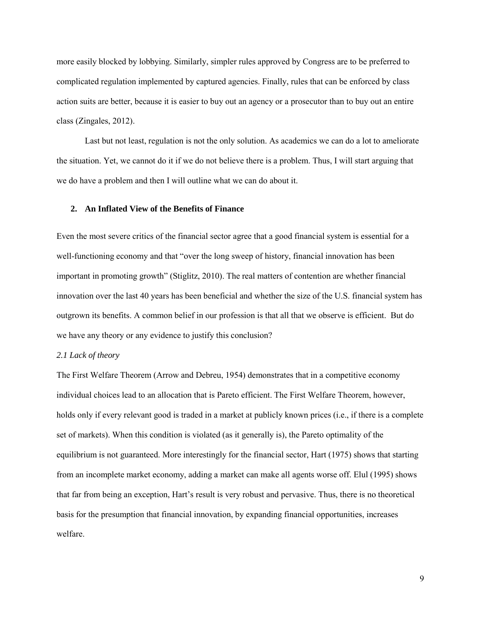more easily blocked by lobbying. Similarly, simpler rules approved by Congress are to be preferred to complicated regulation implemented by captured agencies. Finally, rules that can be enforced by class action suits are better, because it is easier to buy out an agency or a prosecutor than to buy out an entire class (Zingales, 2012).

Last but not least, regulation is not the only solution. As academics we can do a lot to ameliorate the situation. Yet, we cannot do it if we do not believe there is a problem. Thus, I will start arguing that we do have a problem and then I will outline what we can do about it.

### **2. An Inflated View of the Benefits of Finance**

Even the most severe critics of the financial sector agree that a good financial system is essential for a well-functioning economy and that "over the long sweep of history, financial innovation has been important in promoting growth" (Stiglitz, 2010). The real matters of contention are whether financial innovation over the last 40 years has been beneficial and whether the size of the U.S. financial system has outgrown its benefits. A common belief in our profession is that all that we observe is efficient. But do we have any theory or any evidence to justify this conclusion?

#### *2.1 Lack of theory*

The First Welfare Theorem (Arrow and Debreu, 1954) demonstrates that in a competitive economy individual choices lead to an allocation that is Pareto efficient. The First Welfare Theorem, however, holds only if every relevant good is traded in a market at publicly known prices (i.e., if there is a complete set of markets). When this condition is violated (as it generally is), the Pareto optimality of the equilibrium is not guaranteed. More interestingly for the financial sector, Hart (1975) shows that starting from an incomplete market economy, adding a market can make all agents worse off. Elul (1995) shows that far from being an exception, Hart's result is very robust and pervasive. Thus, there is no theoretical basis for the presumption that financial innovation, by expanding financial opportunities, increases welfare.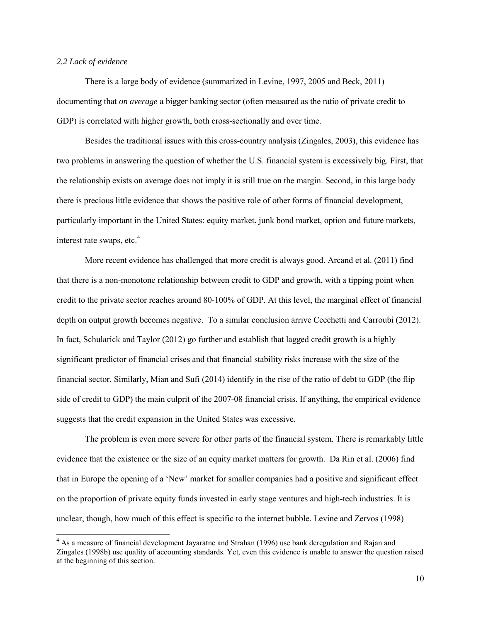#### *2.2 Lack of evidence*

 $\overline{a}$ 

There is a large body of evidence (summarized in Levine, 1997, 2005 and Beck, 2011) documenting that *on average* a bigger banking sector (often measured as the ratio of private credit to GDP) is correlated with higher growth, both cross-sectionally and over time.

Besides the traditional issues with this cross-country analysis (Zingales, 2003), this evidence has two problems in answering the question of whether the U.S. financial system is excessively big. First, that the relationship exists on average does not imply it is still true on the margin. Second, in this large body there is precious little evidence that shows the positive role of other forms of financial development, particularly important in the United States: equity market, junk bond market, option and future markets, interest rate swaps, etc. $4$ 

More recent evidence has challenged that more credit is always good. Arcand et al. (2011) find that there is a non-monotone relationship between credit to GDP and growth, with a tipping point when credit to the private sector reaches around 80-100% of GDP. At this level, the marginal effect of financial depth on output growth becomes negative. To a similar conclusion arrive Cecchetti and Carroubi (2012). In fact, Schularick and Taylor (2012) go further and establish that lagged credit growth is a highly significant predictor of financial crises and that financial stability risks increase with the size of the financial sector. Similarly, Mian and Sufi (2014) identify in the rise of the ratio of debt to GDP (the flip side of credit to GDP) the main culprit of the 2007-08 financial crisis. If anything, the empirical evidence suggests that the credit expansion in the United States was excessive.

The problem is even more severe for other parts of the financial system. There is remarkably little evidence that the existence or the size of an equity market matters for growth. Da Rin et al. (2006) find that in Europe the opening of a 'New' market for smaller companies had a positive and significant effect on the proportion of private equity funds invested in early stage ventures and high-tech industries. It is unclear, though, how much of this effect is specific to the internet bubble. Levine and Zervos (1998)

<span id="page-10-0"></span><sup>&</sup>lt;sup>4</sup> As a measure of financial development Jayaratne and Strahan (1996) use bank deregulation and Rajan and Zingales (1998b) use quality of accounting standards. Yet, even this evidence is unable to answer the question raised at the beginning of this section.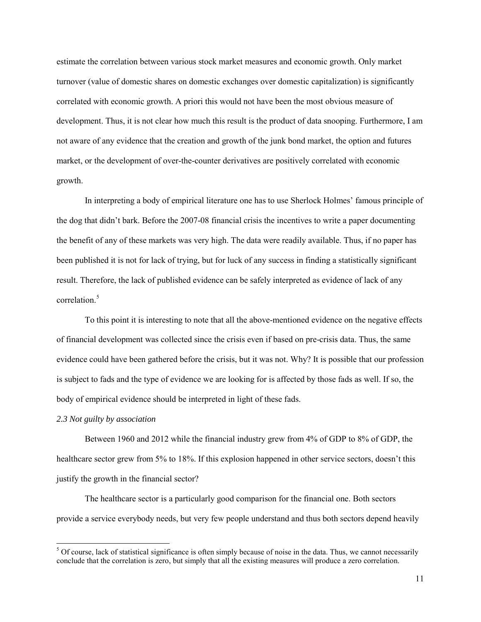estimate the correlation between various stock market measures and economic growth. Only market turnover (value of domestic shares on domestic exchanges over domestic capitalization) is significantly correlated with economic growth. A priori this would not have been the most obvious measure of development. Thus, it is not clear how much this result is the product of data snooping. Furthermore, I am not aware of any evidence that the creation and growth of the junk bond market, the option and futures market, or the development of over-the-counter derivatives are positively correlated with economic growth.

In interpreting a body of empirical literature one has to use Sherlock Holmes' famous principle of the dog that didn't bark. Before the 2007-08 financial crisis the incentives to write a paper documenting the benefit of any of these markets was very high. The data were readily available. Thus, if no paper has been published it is not for lack of trying, but for luck of any success in finding a statistically significant result. Therefore, the lack of published evidence can be safely interpreted as evidence of lack of any correlation.<sup>[5](#page-11-0)</sup>

To this point it is interesting to note that all the above-mentioned evidence on the negative effects of financial development was collected since the crisis even if based on pre-crisis data. Thus, the same evidence could have been gathered before the crisis, but it was not. Why? It is possible that our profession is subject to fads and the type of evidence we are looking for is affected by those fads as well. If so, the body of empirical evidence should be interpreted in light of these fads.

## *2.3 Not guilty by association*

 $\overline{a}$ 

Between 1960 and 2012 while the financial industry grew from 4% of GDP to 8% of GDP, the healthcare sector grew from 5% to 18%. If this explosion happened in other service sectors, doesn't this justify the growth in the financial sector?

The healthcare sector is a particularly good comparison for the financial one. Both sectors provide a service everybody needs, but very few people understand and thus both sectors depend heavily

<span id="page-11-0"></span> $<sup>5</sup>$  Of course, lack of statistical significance is often simply because of noise in the data. Thus, we cannot necessarily</sup> conclude that the correlation is zero, but simply that all the existing measures will produce a zero correlation.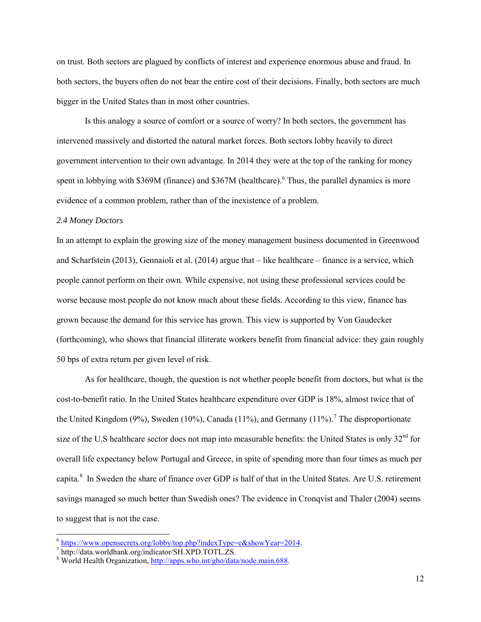on trust. Both sectors are plagued by conflicts of interest and experience enormous abuse and fraud. In both sectors, the buyers often do not bear the entire cost of their decisions. Finally, both sectors are much bigger in the United States than in most other countries.

Is this analogy a source of comfort or a source of worry? In both sectors, the government has intervened massively and distorted the natural market forces. Both sectors lobby heavily to direct government intervention to their own advantage. In 2014 they were at the top of the ranking for money spent in lobbying with \$3[6](#page-12-0)9M (finance) and \$367M (healthcare).<sup>6</sup> Thus, the parallel dynamics is more evidence of a common problem, rather than of the inexistence of a problem.

# *2.4 Money Doctors*

In an attempt to explain the growing size of the money management business documented in Greenwood and Scharfstein (2013), Gennaioli et al. (2014) argue that – like healthcare – finance is a service, which people cannot perform on their own. While expensive, not using these professional services could be worse because most people do not know much about these fields. According to this view, finance has grown because the demand for this service has grown. This view is supported by Von Gaudecker (forthcoming), who shows that financial illiterate workers benefit from financial advice: they gain roughly 50 bps of extra return per given level of risk.

As for healthcare, though, the question is not whether people benefit from doctors, but what is the cost-to-benefit ratio. In the United States healthcare expenditure over GDP is 18%, almost twice that of the United Kingdom (9%), Sweden (10%), Canada (11%), and Germany (11%).<sup>[7](#page-12-1)</sup> The disproportionate size of the U.S healthcare sector does not map into measurable benefits: the United States is only 32<sup>nd</sup> for overall life expectancy below Portugal and Greece, in spite of spending more than four times as much per capita.<sup>[8](#page-12-2)</sup> In Sweden the share of finance over GDP is half of that in the United States. Are U.S. retirement savings managed so much better than Swedish ones? The evidence in Cronqvist and Thaler (2004) seems to suggest that is not the case.

 $\overline{a}$ 

<span id="page-12-0"></span><sup>&</sup>lt;sup>6</sup> [https://www.opensecrets.org/lobby/top.php?indexType=c&showYear=2014.](https://www.opensecrets.org/lobby/top.php?indexType=c&showYear=2014)<br><sup>7</sup> http://data.worldbank.org/indicator/SH.XPD.TOTL.ZS.<br><sup>8</sup> World Health Organization, <u>http://apps.who.int/gho/data/node.main.688</u>.

<span id="page-12-1"></span>

<span id="page-12-2"></span>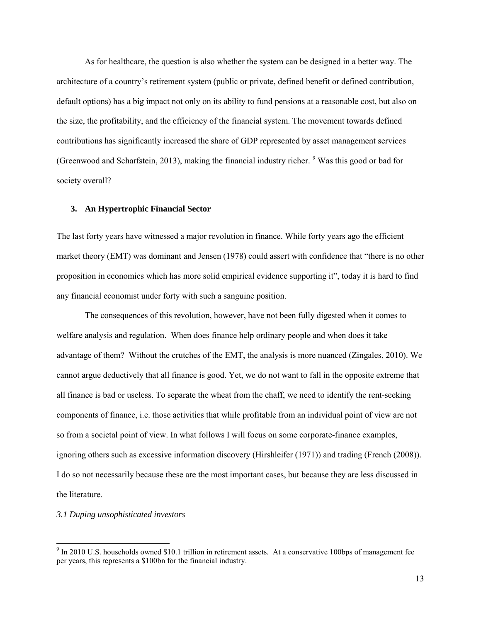As for healthcare, the question is also whether the system can be designed in a better way. The architecture of a country's retirement system (public or private, defined benefit or defined contribution, default options) has a big impact not only on its ability to fund pensions at a reasonable cost, but also on the size, the profitability, and the efficiency of the financial system. The movement towards defined contributions has significantly increased the share of GDP represented by asset management services (Greenwood and Scharfstein, 2013), making the financial industry richer. <sup>[9](#page-13-0)</sup> Was this good or bad for society overall?

## **3. An Hypertrophic Financial Sector**

The last forty years have witnessed a major revolution in finance. While forty years ago the efficient market theory (EMT) was dominant and Jensen (1978) could assert with confidence that "there is no other proposition in economics which has more solid empirical evidence supporting it", today it is hard to find any financial economist under forty with such a sanguine position.

The consequences of this revolution, however, have not been fully digested when it comes to welfare analysis and regulation. When does finance help ordinary people and when does it take advantage of them? Without the crutches of the EMT, the analysis is more nuanced (Zingales, 2010). We cannot argue deductively that all finance is good. Yet, we do not want to fall in the opposite extreme that all finance is bad or useless. To separate the wheat from the chaff, we need to identify the rent-seeking components of finance, i.e. those activities that while profitable from an individual point of view are not so from a societal point of view. In what follows I will focus on some corporate-finance examples, ignoring others such as excessive information discovery (Hirshleifer (1971)) and trading (French (2008)). I do so not necessarily because these are the most important cases, but because they are less discussed in the literature.

#### *3.1 Duping unsophisticated investors*

 $\overline{a}$ 

<span id="page-13-0"></span> $9 \text{ In } 2010 \text{ U.S.}$  households owned \$10.1 trillion in retirement assets. At a conservative 100bps of management fee per years, this represents a \$100bn for the financial industry.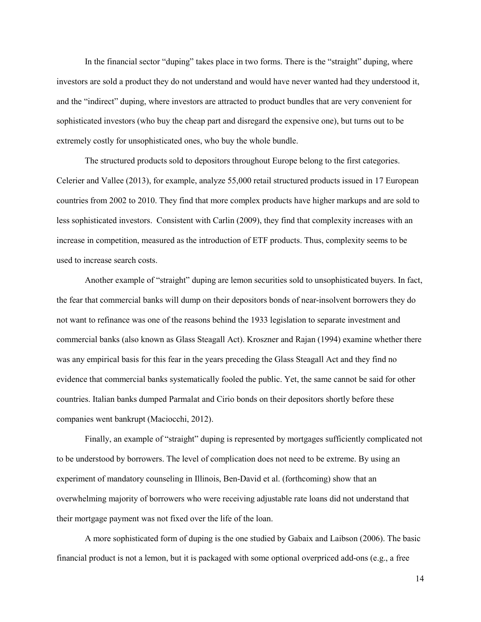In the financial sector "duping" takes place in two forms. There is the "straight" duping, where investors are sold a product they do not understand and would have never wanted had they understood it, and the "indirect" duping, where investors are attracted to product bundles that are very convenient for sophisticated investors (who buy the cheap part and disregard the expensive one), but turns out to be extremely costly for unsophisticated ones, who buy the whole bundle.

 The structured products sold to depositors throughout Europe belong to the first categories. Celerier and Vallee (2013), for example, analyze 55,000 retail structured products issued in 17 European countries from 2002 to 2010. They find that more complex products have higher markups and are sold to less sophisticated investors. Consistent with Carlin (2009), they find that complexity increases with an increase in competition, measured as the introduction of ETF products. Thus, complexity seems to be used to increase search costs.

 Another example of "straight" duping are lemon securities sold to unsophisticated buyers. In fact, the fear that commercial banks will dump on their depositors bonds of near-insolvent borrowers they do not want to refinance was one of the reasons behind the 1933 legislation to separate investment and commercial banks (also known as Glass Steagall Act). Kroszner and Rajan (1994) examine whether there was any empirical basis for this fear in the years preceding the Glass Steagall Act and they find no evidence that commercial banks systematically fooled the public. Yet, the same cannot be said for other countries. Italian banks dumped Parmalat and Cirio bonds on their depositors shortly before these companies went bankrupt (Maciocchi, 2012).

Finally, an example of "straight" duping is represented by mortgages sufficiently complicated not to be understood by borrowers. The level of complication does not need to be extreme. By using an experiment of mandatory counseling in Illinois, Ben-David et al. (forthcoming) show that an overwhelming majority of borrowers who were receiving adjustable rate loans did not understand that their mortgage payment was not fixed over the life of the loan.

A more sophisticated form of duping is the one studied by Gabaix and Laibson (2006). The basic financial product is not a lemon, but it is packaged with some optional overpriced add-ons (e.g., a free

14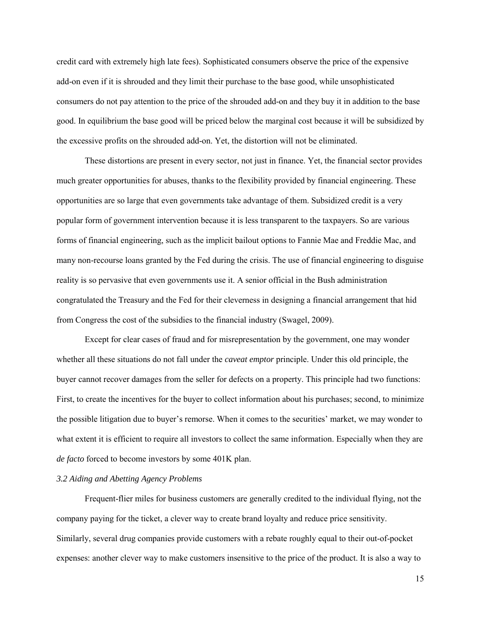credit card with extremely high late fees). Sophisticated consumers observe the price of the expensive add-on even if it is shrouded and they limit their purchase to the base good, while unsophisticated consumers do not pay attention to the price of the shrouded add-on and they buy it in addition to the base good. In equilibrium the base good will be priced below the marginal cost because it will be subsidized by the excessive profits on the shrouded add-on. Yet, the distortion will not be eliminated.

 These distortions are present in every sector, not just in finance. Yet, the financial sector provides much greater opportunities for abuses, thanks to the flexibility provided by financial engineering. These opportunities are so large that even governments take advantage of them. Subsidized credit is a very popular form of government intervention because it is less transparent to the taxpayers. So are various forms of financial engineering, such as the implicit bailout options to Fannie Mae and Freddie Mac, and many non-recourse loans granted by the Fed during the crisis. The use of financial engineering to disguise reality is so pervasive that even governments use it. A senior official in the Bush administration congratulated the Treasury and the Fed for their cleverness in designing a financial arrangement that hid from Congress the cost of the subsidies to the financial industry (Swagel, 2009).

Except for clear cases of fraud and for misrepresentation by the government, one may wonder whether all these situations do not fall under the *caveat emptor* principle. Under this old principle, the buyer cannot recover damages from the seller for defects on a property. This principle had two functions: First, to create the incentives for the buyer to collect information about his purchases; second, to minimize the possible litigation due to buyer's remorse. When it comes to the securities' market, we may wonder to what extent it is efficient to require all investors to collect the same information. Especially when they are *de facto* forced to become investors by some 401K plan.

#### *3.2 Aiding and Abetting Agency Problems*

Frequent-flier miles for business customers are generally credited to the individual flying, not the company paying for the ticket, a clever way to create brand loyalty and reduce price sensitivity. Similarly, several drug companies provide customers with a rebate roughly equal to their out-of-pocket expenses: another clever way to make customers insensitive to the price of the product. It is also a way to

15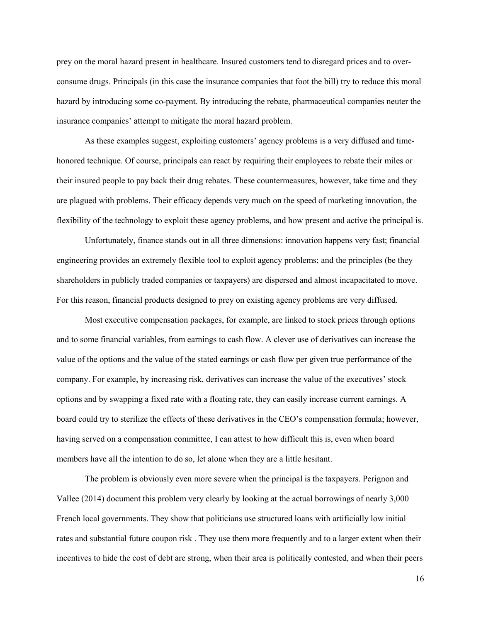prey on the moral hazard present in healthcare. Insured customers tend to disregard prices and to overconsume drugs. Principals (in this case the insurance companies that foot the bill) try to reduce this moral hazard by introducing some co-payment. By introducing the rebate, pharmaceutical companies neuter the insurance companies' attempt to mitigate the moral hazard problem.

As these examples suggest, exploiting customers' agency problems is a very diffused and timehonored technique. Of course, principals can react by requiring their employees to rebate their miles or their insured people to pay back their drug rebates. These countermeasures, however, take time and they are plagued with problems. Their efficacy depends very much on the speed of marketing innovation, the flexibility of the technology to exploit these agency problems, and how present and active the principal is.

 Unfortunately, finance stands out in all three dimensions: innovation happens very fast; financial engineering provides an extremely flexible tool to exploit agency problems; and the principles (be they shareholders in publicly traded companies or taxpayers) are dispersed and almost incapacitated to move. For this reason, financial products designed to prey on existing agency problems are very diffused.

Most executive compensation packages, for example, are linked to stock prices through options and to some financial variables, from earnings to cash flow. A clever use of derivatives can increase the value of the options and the value of the stated earnings or cash flow per given true performance of the company. For example, by increasing risk, derivatives can increase the value of the executives' stock options and by swapping a fixed rate with a floating rate, they can easily increase current earnings. A board could try to sterilize the effects of these derivatives in the CEO's compensation formula; however, having served on a compensation committee, I can attest to how difficult this is, even when board members have all the intention to do so, let alone when they are a little hesitant.

The problem is obviously even more severe when the principal is the taxpayers. Perignon and Vallee (2014) document this problem very clearly by looking at the actual borrowings of nearly 3,000 French local governments. They show that politicians use structured loans with artificially low initial rates and substantial future coupon risk . They use them more frequently and to a larger extent when their incentives to hide the cost of debt are strong, when their area is politically contested, and when their peers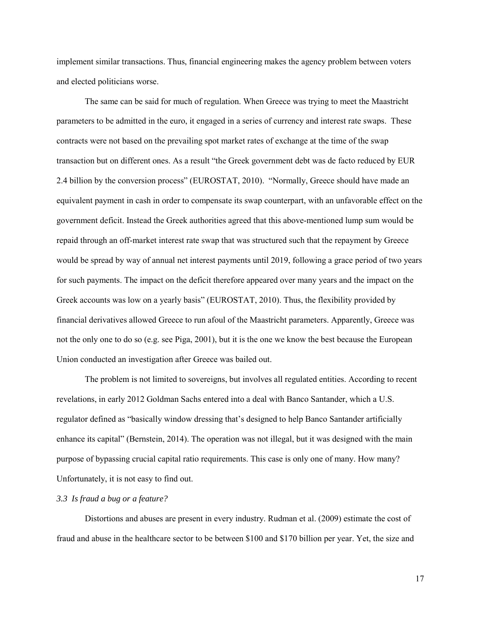implement similar transactions. Thus, financial engineering makes the agency problem between voters and elected politicians worse.

The same can be said for much of regulation. When Greece was trying to meet the Maastricht parameters to be admitted in the euro, it engaged in a series of currency and interest rate swaps. These contracts were not based on the prevailing spot market rates of exchange at the time of the swap transaction but on different ones. As a result "the Greek government debt was de facto reduced by EUR 2.4 billion by the conversion process" (EUROSTAT, 2010). "Normally, Greece should have made an equivalent payment in cash in order to compensate its swap counterpart, with an unfavorable effect on the government deficit. Instead the Greek authorities agreed that this above-mentioned lump sum would be repaid through an off-market interest rate swap that was structured such that the repayment by Greece would be spread by way of annual net interest payments until 2019, following a grace period of two years for such payments. The impact on the deficit therefore appeared over many years and the impact on the Greek accounts was low on a yearly basis" (EUROSTAT, 2010). Thus, the flexibility provided by financial derivatives allowed Greece to run afoul of the Maastricht parameters. Apparently, Greece was not the only one to do so (e.g. see Piga, 2001), but it is the one we know the best because the European Union conducted an investigation after Greece was bailed out.

 The problem is not limited to sovereigns, but involves all regulated entities. According to recent revelations, in early 2012 Goldman Sachs entered into a deal with Banco Santander, which a U.S. regulator defined as "basically window dressing that's designed to help Banco Santander artificially enhance its capital" (Bernstein, 2014). The operation was not illegal, but it was designed with the main purpose of bypassing crucial capital ratio requirements. This case is only one of many. How many? Unfortunately, it is not easy to find out.

#### *3.3 Is fraud a bug or a feature?*

Distortions and abuses are present in every industry. Rudman et al. (2009) estimate the cost of fraud and abuse in the healthcare sector to be between \$100 and \$170 billion per year. Yet, the size and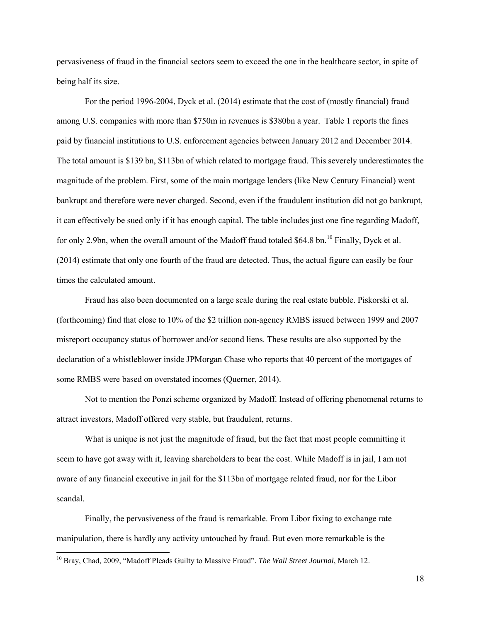pervasiveness of fraud in the financial sectors seem to exceed the one in the healthcare sector, in spite of being half its size.

For the period 1996-2004, Dyck et al. (2014) estimate that the cost of (mostly financial) fraud among U.S. companies with more than \$750m in revenues is \$380bn a year. Table 1 reports the fines paid by financial institutions to U.S. enforcement agencies between January 2012 and December 2014. The total amount is \$139 bn, \$113bn of which related to mortgage fraud. This severely underestimates the magnitude of the problem. First, some of the main mortgage lenders (like New Century Financial) went bankrupt and therefore were never charged. Second, even if the fraudulent institution did not go bankrupt, it can effectively be sued only if it has enough capital. The table includes just one fine regarding Madoff, for only 2.9bn, when the overall amount of the Madoff fraud totaled \$64.8 bn.<sup>[10](#page-18-0)</sup> Finally, Dyck et al. (2014) estimate that only one fourth of the fraud are detected. Thus, the actual figure can easily be four times the calculated amount.

Fraud has also been documented on a large scale during the real estate bubble. Piskorski et al. (forthcoming) find that close to 10% of the \$2 trillion non-agency RMBS issued between 1999 and 2007 misreport occupancy status of borrower and/or second liens. These results are also supported by the declaration of a whistleblower inside JPMorgan Chase who reports that 40 percent of the mortgages of some RMBS were based on overstated incomes (Querner, 2014).

Not to mention the Ponzi scheme organized by Madoff. Instead of offering phenomenal returns to attract investors, Madoff offered very stable, but fraudulent, returns.

What is unique is not just the magnitude of fraud, but the fact that most people committing it seem to have got away with it, leaving shareholders to bear the cost. While Madoff is in jail, I am not aware of any financial executive in jail for the \$113bn of mortgage related fraud, nor for the Libor scandal.

Finally, the pervasiveness of the fraud is remarkable. From Libor fixing to exchange rate manipulation, there is hardly any activity untouched by fraud. But even more remarkable is the

 $\overline{a}$ 

<span id="page-18-0"></span><sup>10</sup> Bray, Chad, 2009, "Madoff Pleads Guilty to Massive Fraud". *The Wall Street Journal*, March 12.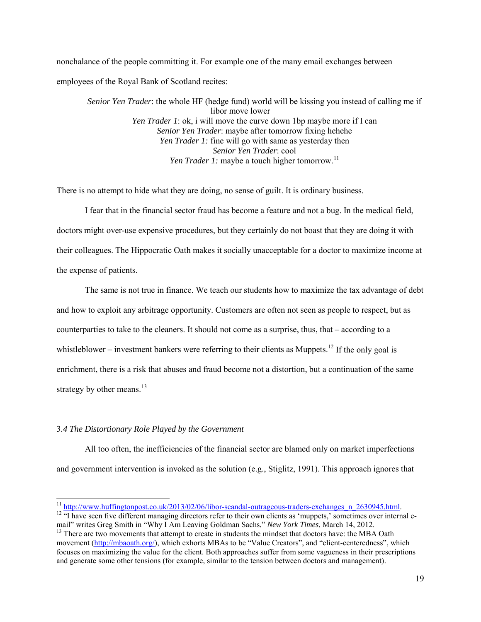nonchalance of the people committing it. For example one of the many email exchanges between employees of the Royal Bank of Scotland recites:

*Senior Yen Trader*: the whole HF (hedge fund) world will be kissing you instead of calling me if libor move lower *Yen Trader 1*: ok, i will move the curve down 1bp maybe more if I can *Senior Yen Trader*: maybe after tomorrow fixing hehehe *Yen Trader 1:* fine will go with same as yesterday then *Senior Yen Trader*: cool *Yen Trader 1:* maybe a touch higher tomorrow.<sup>[11](#page-19-0)</sup>

There is no attempt to hide what they are doing, no sense of guilt. It is ordinary business.

I fear that in the financial sector fraud has become a feature and not a bug. In the medical field, doctors might over-use expensive procedures, but they certainly do not boast that they are doing it with their colleagues. The Hippocratic Oath makes it socially unacceptable for a doctor to maximize income at the expense of patients.

The same is not true in finance. We teach our students how to maximize the tax advantage of debt and how to exploit any arbitrage opportunity. Customers are often not seen as people to respect, but as counterparties to take to the cleaners. It should not come as a surprise, thus, that – according to a whistleblower – investment bankers were referring to their clients as Muppets.<sup>12</sup> If the only goal is enrichment, there is a risk that abuses and fraud become not a distortion, but a continuation of the same strategy by other means. $13$ 

# 3*.4 The Distortionary Role Played by the Government*

 $\overline{a}$ 

All too often, the inefficiencies of the financial sector are blamed only on market imperfections and government intervention is invoked as the solution (e.g., Stiglitz, 1991). This approach ignores that

<span id="page-19-0"></span><sup>&</sup>lt;sup>11</sup> [http://www.huffingtonpost.co.uk/2013/02/06/libor-scandal-outrageous-traders-exchanges\\_n\\_2630945.html.](http://www.huffingtonpost.co.uk/2013/02/06/libor-scandal-outrageous-traders-exchanges_n_2630945.html) <sup>12</sup> "I have seen five different managing directors refer to their own clients as 'muppets,' sometimes over intern

<span id="page-19-1"></span>mail" writes Greg Smith in "Why I Am Leaving Goldman Sachs," *New York Times*, March 14, 2012.

<span id="page-19-2"></span><sup>&</sup>lt;sup>13</sup> There are two movements that attempt to create in students the mindset that doctors have: the MBA Oath movement [\(http://mbaoath.org/\)](http://mbaoath.org/), which exhorts MBAs to be "Value Creators", and "client-centeredness", which focuses on maximizing the value for the client. Both approaches suffer from some vagueness in their prescriptions and generate some other tensions (for example, similar to the tension between doctors and management).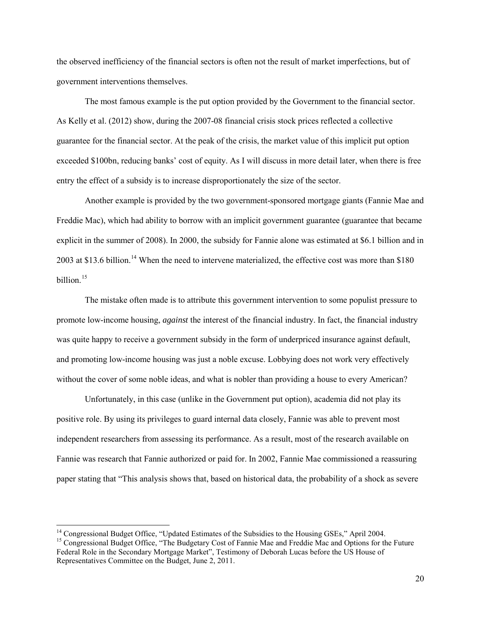the observed inefficiency of the financial sectors is often not the result of market imperfections, but of government interventions themselves.

 The most famous example is the put option provided by the Government to the financial sector. As Kelly et al. (2012) show, during the 2007-08 financial crisis stock prices reflected a collective guarantee for the financial sector. At the peak of the crisis, the market value of this implicit put option exceeded \$100bn, reducing banks' cost of equity. As I will discuss in more detail later, when there is free entry the effect of a subsidy is to increase disproportionately the size of the sector.

Another example is provided by the two government-sponsored mortgage giants (Fannie Mae and Freddie Mac), which had ability to borrow with an implicit government guarantee (guarantee that became explicit in the summer of 2008). In 2000, the subsidy for Fannie alone was estimated at \$6.1 billion and in 2003 at \$13.6 billion.<sup>[14](#page-20-0)</sup> When the need to intervene materialized, the effective cost was more than \$180 billion $15$ 

 The mistake often made is to attribute this government intervention to some populist pressure to promote low-income housing, *against* the interest of the financial industry. In fact, the financial industry was quite happy to receive a government subsidy in the form of underpriced insurance against default, and promoting low-income housing was just a noble excuse. Lobbying does not work very effectively without the cover of some noble ideas, and what is nobler than providing a house to every American?

 Unfortunately, in this case (unlike in the Government put option), academia did not play its positive role. By using its privileges to guard internal data closely, Fannie was able to prevent most independent researchers from assessing its performance. As a result, most of the research available on Fannie was research that Fannie authorized or paid for. In 2002, Fannie Mae commissioned a reassuring paper stating that "This analysis shows that, based on historical data, the probability of a shock as severe

 $\overline{a}$ 

<sup>&</sup>lt;sup>14</sup> Congressional Budget Office, "Updated Estimates of the Subsidies to the Housing GSEs," April 2004.

<span id="page-20-1"></span><span id="page-20-0"></span><sup>&</sup>lt;sup>15</sup> Congressional Budget Office, "The Budgetary Cost of Fannie Mae and Freddie Mac and Options for the Future Federal Role in the Secondary Mortgage Market", Testimony of Deborah Lucas before the US House of Representatives Committee on the Budget, June 2, 2011.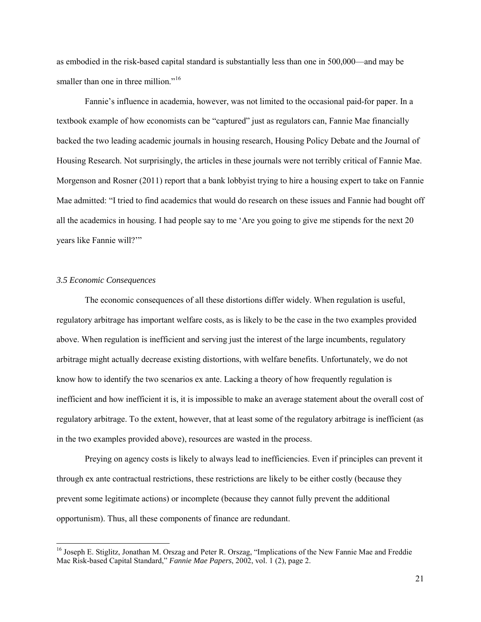as embodied in the risk-based capital standard is substantially less than one in 500,000—and may be smaller than one in three million."<sup>[16](#page-21-0)</sup>

Fannie's influence in academia, however, was not limited to the occasional paid-for paper. In a textbook example of how economists can be "captured" just as regulators can, Fannie Mae financially backed the two leading academic journals in housing research, Housing Policy Debate and the Journal of Housing Research. Not surprisingly, the articles in these journals were not terribly critical of Fannie Mae. Morgenson and Rosner (2011) report that a bank lobbyist trying to hire a housing expert to take on Fannie Mae admitted: "I tried to find academics that would do research on these issues and Fannie had bought off all the academics in housing. I had people say to me 'Are you going to give me stipends for the next 20 years like Fannie will?'"

### *3.5 Economic Consequences*

 $\overline{a}$ 

The economic consequences of all these distortions differ widely. When regulation is useful, regulatory arbitrage has important welfare costs, as is likely to be the case in the two examples provided above. When regulation is inefficient and serving just the interest of the large incumbents, regulatory arbitrage might actually decrease existing distortions, with welfare benefits. Unfortunately, we do not know how to identify the two scenarios ex ante. Lacking a theory of how frequently regulation is inefficient and how inefficient it is, it is impossible to make an average statement about the overall cost of regulatory arbitrage. To the extent, however, that at least some of the regulatory arbitrage is inefficient (as in the two examples provided above), resources are wasted in the process.

Preying on agency costs is likely to always lead to inefficiencies. Even if principles can prevent it through ex ante contractual restrictions, these restrictions are likely to be either costly (because they prevent some legitimate actions) or incomplete (because they cannot fully prevent the additional opportunism). Thus, all these components of finance are redundant.

<span id="page-21-0"></span><sup>&</sup>lt;sup>16</sup> Joseph E. Stiglitz, Jonathan M. Orszag and Peter R. Orszag, "Implications of the New Fannie Mae and Freddie Mac Risk-based Capital Standard," *Fannie Mae Papers*, 2002, vol. 1 (2), page 2.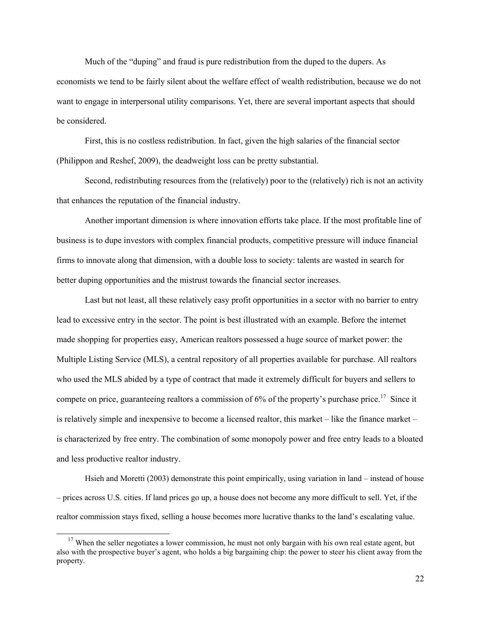Much of the "duping" and fraud is pure redistribution from the duped to the dupers. As economists we tend to be fairly silent about the welfare effect of wealth redistribution, because we do not want to engage in interpersonal utility comparisons. Yet, there are several important aspects that should be considered.

First, this is no costless redistribution. In fact, given the high salaries of the financial sector (Philippon and Reshef, 2009), the deadweight loss can be pretty substantial.

Second, redistributing resources from the (relatively) poor to the (relatively) rich is not an activity that enhances the reputation of the financial industry.

Another important dimension is where innovation efforts take place. If the most profitable line of business is to dupe investors with complex financial products, competitive pressure will induce financial firms to innovate along that dimension, with a double loss to society: talents are wasted in search for better duping opportunities and the mistrust towards the financial sector increases.

 Last but not least, all these relatively easy profit opportunities in a sector with no barrier to entry lead to excessive entry in the sector. The point is best illustrated with an example. Before the internet made shopping for properties easy, American realtors possessed a huge source of market power: the Multiple Listing Service (MLS), a central repository of all properties available for purchase. All realtors who used the MLS abided by a type of contract that made it extremely difficult for buyers and sellers to compete on price, guaranteeing realtors a commission of 6% of the property's purchase price.<sup>17</sup> Since it is relatively simple and inexpensive to become a licensed realtor, this market – like the finance market – is characterized by free entry. The combination of some monopoly power and free entry leads to a bloated and less productive realtor industry.

Hsieh and Moretti (2003) demonstrate this point empirically, using variation in land – instead of house – prices across U.S. cities. If land prices go up, a house does not become any more difficult to sell. Yet, if the realtor commission stays fixed, selling a house becomes more lucrative thanks to the land's escalating value.

<span id="page-22-0"></span><sup>&</sup>lt;sup>17</sup> When the seller negotiates a lower commission, he must not only bargain with his own real estate agent, but also with the prospective buyer's agent, who holds a big bargaining chip: the power to steer his client away from the property.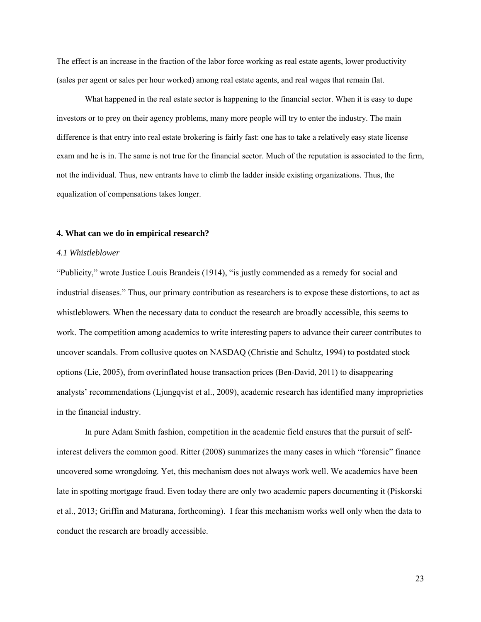The effect is an increase in the fraction of the labor force working as real estate agents, lower productivity (sales per agent or sales per hour worked) among real estate agents, and real wages that remain flat.

What happened in the real estate sector is happening to the financial sector. When it is easy to dupe investors or to prey on their agency problems, many more people will try to enter the industry. The main difference is that entry into real estate brokering is fairly fast: one has to take a relatively easy state license exam and he is in. The same is not true for the financial sector. Much of the reputation is associated to the firm, not the individual. Thus, new entrants have to climb the ladder inside existing organizations. Thus, the equalization of compensations takes longer.

#### **4. What can we do in empirical research?**

#### *4.1 Whistleblower*

"Publicity," wrote Justice Louis Brandeis (1914), "is justly commended as a remedy for social and industrial diseases." Thus, our primary contribution as researchers is to expose these distortions, to act as whistleblowers. When the necessary data to conduct the research are broadly accessible, this seems to work. The competition among academics to write interesting papers to advance their career contributes to uncover scandals. From collusive quotes on NASDAQ (Christie and Schultz, 1994) to postdated stock options (Lie, 2005), from overinflated house transaction prices (Ben-David, 2011) to disappearing analysts' recommendations (Ljungqvist et al., 2009), academic research has identified many improprieties in the financial industry.

In pure Adam Smith fashion, competition in the academic field ensures that the pursuit of selfinterest delivers the common good. Ritter (2008) summarizes the many cases in which "forensic" finance uncovered some wrongdoing. Yet, this mechanism does not always work well. We academics have been late in spotting mortgage fraud. Even today there are only two academic papers documenting it (Piskorski et al., 2013; Griffin and Maturana, forthcoming). I fear this mechanism works well only when the data to conduct the research are broadly accessible.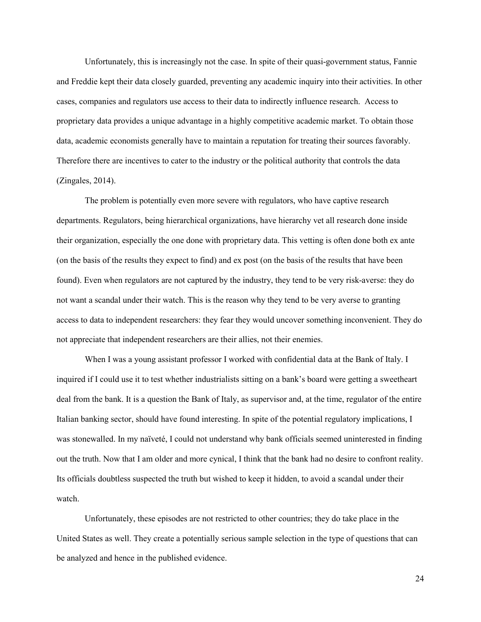Unfortunately, this is increasingly not the case. In spite of their quasi-government status, Fannie and Freddie kept their data closely guarded, preventing any academic inquiry into their activities. In other cases, companies and regulators use access to their data to indirectly influence research. Access to proprietary data provides a unique advantage in a highly competitive academic market. To obtain those data, academic economists generally have to maintain a reputation for treating their sources favorably. Therefore there are incentives to cater to the industry or the political authority that controls the data (Zingales, 2014).

The problem is potentially even more severe with regulators, who have captive research departments. Regulators, being hierarchical organizations, have hierarchy vet all research done inside their organization, especially the one done with proprietary data. This vetting is often done both ex ante (on the basis of the results they expect to find) and ex post (on the basis of the results that have been found). Even when regulators are not captured by the industry, they tend to be very risk-averse: they do not want a scandal under their watch. This is the reason why they tend to be very averse to granting access to data to independent researchers: they fear they would uncover something inconvenient. They do not appreciate that independent researchers are their allies, not their enemies.

When I was a young assistant professor I worked with confidential data at the Bank of Italy. I inquired if I could use it to test whether industrialists sitting on a bank's board were getting a sweetheart deal from the bank. It is a question the Bank of Italy, as supervisor and, at the time, regulator of the entire Italian banking sector, should have found interesting. In spite of the potential regulatory implications, I was stonewalled. In my naïveté, I could not understand why bank officials seemed uninterested in finding out the truth. Now that I am older and more cynical, I think that the bank had no desire to confront reality. Its officials doubtless suspected the truth but wished to keep it hidden, to avoid a scandal under their watch.

Unfortunately, these episodes are not restricted to other countries; they do take place in the United States as well. They create a potentially serious sample selection in the type of questions that can be analyzed and hence in the published evidence.

24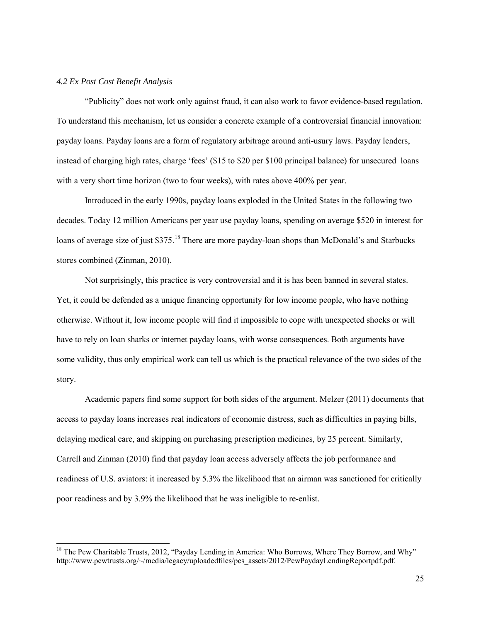#### *4.2 Ex Post Cost Benefit Analysis*

 $\overline{a}$ 

 "Publicity" does not work only against fraud, it can also work to favor evidence-based regulation. To understand this mechanism, let us consider a concrete example of a controversial financial innovation: payday loans. Payday loans are a form of regulatory arbitrage around anti-usury laws. Payday lenders, instead of charging high rates, charge 'fees' (\$15 to \$20 per \$100 principal balance) for unsecured loans with a very short time horizon (two to four weeks), with rates above 400% per year.

Introduced in the early 1990s, payday loans exploded in the United States in the following two decades. Today 12 million Americans per year use payday loans, spending on average \$520 in interest for loans of average size of just \$375.<sup>[18](#page-25-0)</sup> There are more payday-loan shops than McDonald's and Starbucks stores combined (Zinman, 2010).

Not surprisingly, this practice is very controversial and it is has been banned in several states. Yet, it could be defended as a unique financing opportunity for low income people, who have nothing otherwise. Without it, low income people will find it impossible to cope with unexpected shocks or will have to rely on loan sharks or internet payday loans, with worse consequences. Both arguments have some validity, thus only empirical work can tell us which is the practical relevance of the two sides of the story.

Academic papers find some support for both sides of the argument. Melzer (2011) documents that access to payday loans increases real indicators of economic distress, such as difficulties in paying bills, delaying medical care, and skipping on purchasing prescription medicines, by 25 percent. Similarly, Carrell and Zinman (2010) find that payday loan access adversely affects the job performance and readiness of U.S. aviators: it increased by 5.3% the likelihood that an airman was sanctioned for critically poor readiness and by 3.9% the likelihood that he was ineligible to re-enlist.

<span id="page-25-0"></span><sup>&</sup>lt;sup>18</sup> The Pew Charitable Trusts, 2012, "Payday Lending in America: Who Borrows, Where They Borrow, and Why" http://www.pewtrusts.org/~/media/legacy/uploadedfiles/pcs\_assets/2012/PewPaydayLendingReportpdf.pdf.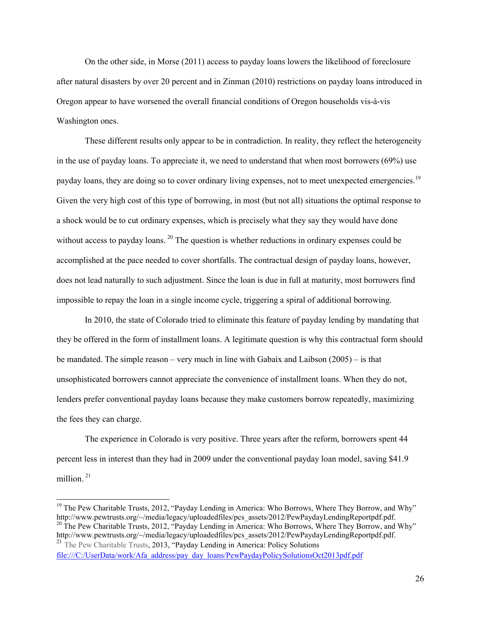On the other side, in Morse (2011) access to payday loans lowers the likelihood of foreclosure after natural disasters by over 20 percent and in Zinman (2010) restrictions on payday loans introduced in Oregon appear to have worsened the overall financial conditions of Oregon households vis-à-vis Washington ones.

These different results only appear to be in contradiction. In reality, they reflect the heterogeneity in the use of payday loans. To appreciate it, we need to understand that when most borrowers (69%) use payday loans, they are doing so to cover ordinary living expenses, not to meet unexpected emergencies.<sup>[19](#page-26-0)</sup> Given the very high cost of this type of borrowing, in most (but not all) situations the optimal response to a shock would be to cut ordinary expenses, which is precisely what they say they would have done without access to payday loans.<sup>[20](#page-26-1)</sup> The question is whether reductions in ordinary expenses could be accomplished at the pace needed to cover shortfalls. The contractual design of payday loans, however, does not lead naturally to such adjustment. Since the loan is due in full at maturity, most borrowers find impossible to repay the loan in a single income cycle, triggering a spiral of additional borrowing.

 In 2010, the state of Colorado tried to eliminate this feature of payday lending by mandating that they be offered in the form of installment loans. A legitimate question is why this contractual form should be mandated. The simple reason – very much in line with Gabaix and Laibson (2005) – is that unsophisticated borrowers cannot appreciate the convenience of installment loans. When they do not, lenders prefer conventional payday loans because they make customers borrow repeatedly, maximizing the fees they can charge.

 The experience in Colorado is very positive. Three years after the reform, borrowers spent 44 percent less in interest than they had in 2009 under the conventional payday loan model, saving \$41.9 million.<sup>21</sup>

 $\overline{a}$ 

<span id="page-26-2"></span><span id="page-26-1"></span><span id="page-26-0"></span><sup>19</sup> The Pew Charitable Trusts, 2012, "Payday Lending in America: Who Borrows, Where They Borrow, and Why" http://www.pewtrusts.org/~/media/legacy/uploadedfiles/pcs\_assets/2012/PewPaydayLendingReportpdf.pdf. <sup>20</sup> The Pew Charitable Trusts, 2012, "Payday Lending in America: Who Borrows, Where They Borrow, and Why" http://www.pew <sup>21</sup> The Pew Charitable Trusts, 2013, "Payday Lending in America: Policy Solutions file:///C:/UserData/work/Afa\_address/pay\_day\_loans/PewPaydayPolicySolutionsOct2013pdf.pdf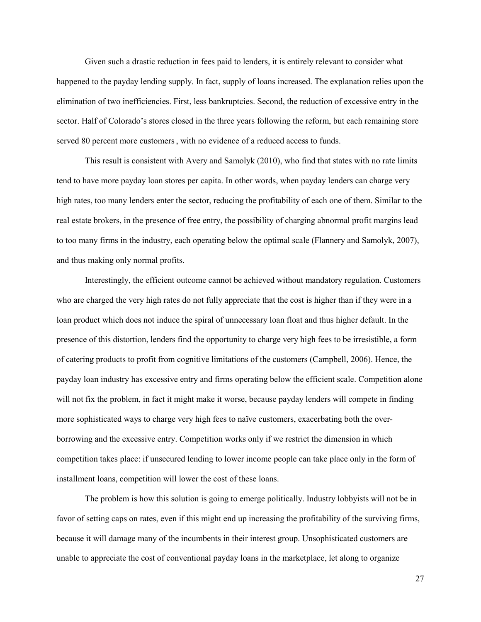Given such a drastic reduction in fees paid to lenders, it is entirely relevant to consider what happened to the payday lending supply. In fact, supply of loans increased. The explanation relies upon the elimination of two inefficiencies. First, less bankruptcies. Second, the reduction of excessive entry in the sector. Half of Colorado's stores closed in the three years following the reform, but each remaining store served 80 percent more customers, with no evidence of a reduced access to funds.

This result is consistent with Avery and Samolyk (2010), who find that states with no rate limits tend to have more payday loan stores per capita. In other words, when payday lenders can charge very high rates, too many lenders enter the sector, reducing the profitability of each one of them. Similar to the real estate brokers, in the presence of free entry, the possibility of charging abnormal profit margins lead to too many firms in the industry, each operating below the optimal scale (Flannery and Samolyk, 2007), and thus making only normal profits.

 Interestingly, the efficient outcome cannot be achieved without mandatory regulation. Customers who are charged the very high rates do not fully appreciate that the cost is higher than if they were in a loan product which does not induce the spiral of unnecessary loan float and thus higher default. In the presence of this distortion, lenders find the opportunity to charge very high fees to be irresistible, a form of catering products to profit from cognitive limitations of the customers (Campbell, 2006). Hence, the payday loan industry has excessive entry and firms operating below the efficient scale. Competition alone will not fix the problem, in fact it might make it worse, because payday lenders will compete in finding more sophisticated ways to charge very high fees to naïve customers, exacerbating both the overborrowing and the excessive entry. Competition works only if we restrict the dimension in which competition takes place: if unsecured lending to lower income people can take place only in the form of installment loans, competition will lower the cost of these loans.

 The problem is how this solution is going to emerge politically. Industry lobbyists will not be in favor of setting caps on rates, even if this might end up increasing the profitability of the surviving firms, because it will damage many of the incumbents in their interest group. Unsophisticated customers are unable to appreciate the cost of conventional payday loans in the marketplace, let along to organize

27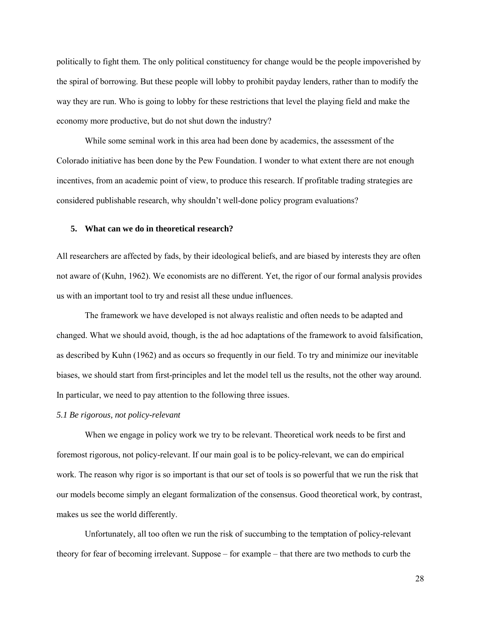politically to fight them. The only political constituency for change would be the people impoverished by the spiral of borrowing. But these people will lobby to prohibit payday lenders, rather than to modify the way they are run. Who is going to lobby for these restrictions that level the playing field and make the economy more productive, but do not shut down the industry?

While some seminal work in this area had been done by academics, the assessment of the Colorado initiative has been done by the Pew Foundation. I wonder to what extent there are not enough incentives, from an academic point of view, to produce this research. If profitable trading strategies are considered publishable research, why shouldn't well-done policy program evaluations?

## **5. What can we do in theoretical research?**

All researchers are affected by fads, by their ideological beliefs, and are biased by interests they are often not aware of (Kuhn, 1962). We economists are no different. Yet, the rigor of our formal analysis provides us with an important tool to try and resist all these undue influences.

The framework we have developed is not always realistic and often needs to be adapted and changed. What we should avoid, though, is the ad hoc adaptations of the framework to avoid falsification, as described by Kuhn (1962) and as occurs so frequently in our field. To try and minimize our inevitable biases, we should start from first-principles and let the model tell us the results, not the other way around. In particular, we need to pay attention to the following three issues.

#### *5.1 Be rigorous, not policy-relevant*

When we engage in policy work we try to be relevant. Theoretical work needs to be first and foremost rigorous, not policy-relevant. If our main goal is to be policy-relevant, we can do empirical work. The reason why rigor is so important is that our set of tools is so powerful that we run the risk that our models become simply an elegant formalization of the consensus. Good theoretical work, by contrast, makes us see the world differently.

Unfortunately, all too often we run the risk of succumbing to the temptation of policy-relevant theory for fear of becoming irrelevant. Suppose – for example – that there are two methods to curb the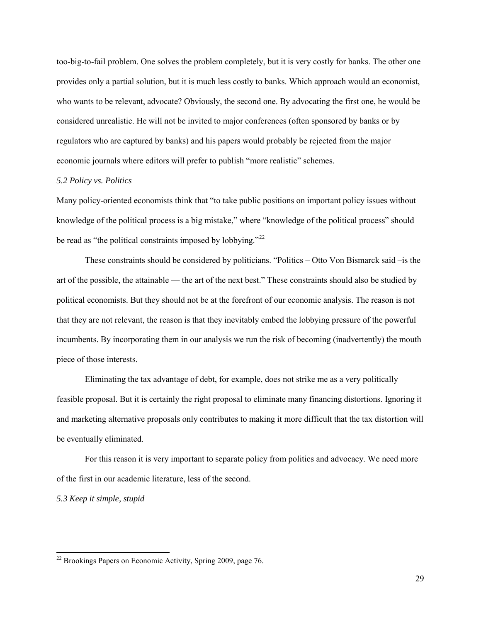too-big-to-fail problem. One solves the problem completely, but it is very costly for banks. The other one provides only a partial solution, but it is much less costly to banks. Which approach would an economist, who wants to be relevant, advocate? Obviously, the second one. By advocating the first one, he would be considered unrealistic. He will not be invited to major conferences (often sponsored by banks or by regulators who are captured by banks) and his papers would probably be rejected from the major economic journals where editors will prefer to publish "more realistic" schemes.

## *5.2 Policy vs. Politics*

Many policy-oriented economists think that "to take public positions on important policy issues without knowledge of the political process is a big mistake," where "knowledge of the political process" should be read as "the political constraints imposed by lobbying."<sup>[22](#page-29-0)</sup>

These constraints should be considered by politicians. "Politics – Otto Von Bismarck said –is the art of the possible, the attainable — the art of the next best." These constraints should also be studied by political economists. But they should not be at the forefront of our economic analysis. The reason is not that they are not relevant, the reason is that they inevitably embed the lobbying pressure of the powerful incumbents. By incorporating them in our analysis we run the risk of becoming (inadvertently) the mouth piece of those interests.

Eliminating the tax advantage of debt, for example, does not strike me as a very politically feasible proposal. But it is certainly the right proposal to eliminate many financing distortions. Ignoring it and marketing alternative proposals only contributes to making it more difficult that the tax distortion will be eventually eliminated.

For this reason it is very important to separate policy from politics and advocacy. We need more of the first in our academic literature, less of the second.

*5.3 Keep it simple, stupid* 

 $\overline{a}$ 

<span id="page-29-0"></span> $22$  Brookings Papers on Economic Activity, Spring 2009, page 76.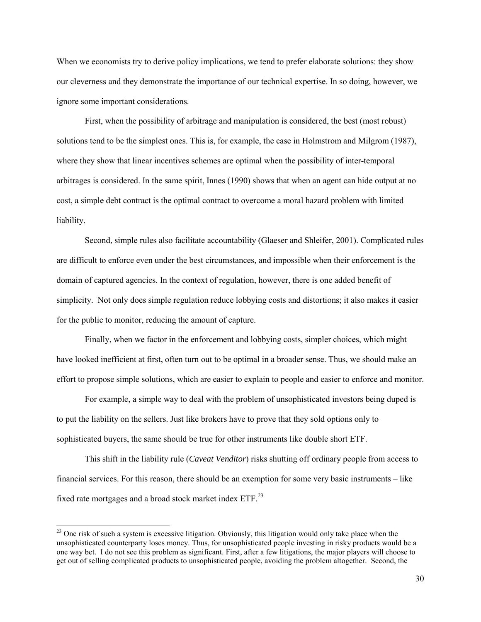When we economists try to derive policy implications, we tend to prefer elaborate solutions: they show our cleverness and they demonstrate the importance of our technical expertise. In so doing, however, we ignore some important considerations.

First, when the possibility of arbitrage and manipulation is considered, the best (most robust) solutions tend to be the simplest ones. This is, for example, the case in Holmstrom and Milgrom (1987), where they show that linear incentives schemes are optimal when the possibility of inter-temporal arbitrages is considered. In the same spirit, Innes (1990) shows that when an agent can hide output at no cost, a simple debt contract is the optimal contract to overcome a moral hazard problem with limited liability.

Second, simple rules also facilitate accountability (Glaeser and Shleifer, 2001). Complicated rules are difficult to enforce even under the best circumstances, and impossible when their enforcement is the domain of captured agencies. In the context of regulation, however, there is one added benefit of simplicity. Not only does simple regulation reduce lobbying costs and distortions; it also makes it easier for the public to monitor, reducing the amount of capture.

Finally, when we factor in the enforcement and lobbying costs, simpler choices, which might have looked inefficient at first, often turn out to be optimal in a broader sense. Thus, we should make an effort to propose simple solutions, which are easier to explain to people and easier to enforce and monitor.

For example, a simple way to deal with the problem of unsophisticated investors being duped is to put the liability on the sellers. Just like brokers have to prove that they sold options only to sophisticated buyers, the same should be true for other instruments like double short ETF.

This shift in the liability rule (*Caveat Venditor*) risks shutting off ordinary people from access to financial services. For this reason, there should be an exemption for some very basic instruments – like fixed rate mortgages and a broad stock market index ETF.<sup>[23](#page-30-0)</sup>

 $\overline{a}$ 

<span id="page-30-0"></span> $2<sup>23</sup>$  One risk of such a system is excessive litigation. Obviously, this litigation would only take place when the unsophisticated counterparty loses money. Thus, for unsophisticated people investing in risky products would be a one way bet. I do not see this problem as significant. First, after a few litigations, the major players will choose to get out of selling complicated products to unsophisticated people, avoiding the problem altogether. Second, the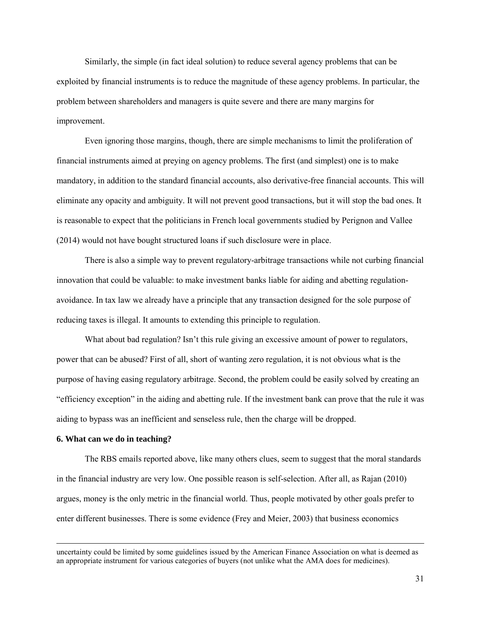Similarly, the simple (in fact ideal solution) to reduce several agency problems that can be exploited by financial instruments is to reduce the magnitude of these agency problems. In particular, the problem between shareholders and managers is quite severe and there are many margins for improvement.

Even ignoring those margins, though, there are simple mechanisms to limit the proliferation of financial instruments aimed at preying on agency problems. The first (and simplest) one is to make mandatory, in addition to the standard financial accounts, also derivative-free financial accounts. This will eliminate any opacity and ambiguity. It will not prevent good transactions, but it will stop the bad ones. It is reasonable to expect that the politicians in French local governments studied by Perignon and Vallee (2014) would not have bought structured loans if such disclosure were in place.

There is also a simple way to prevent regulatory-arbitrage transactions while not curbing financial innovation that could be valuable: to make investment banks liable for aiding and abetting regulationavoidance. In tax law we already have a principle that any transaction designed for the sole purpose of reducing taxes is illegal. It amounts to extending this principle to regulation.

What about bad regulation? Isn't this rule giving an excessive amount of power to regulators, power that can be abused? First of all, short of wanting zero regulation, it is not obvious what is the purpose of having easing regulatory arbitrage. Second, the problem could be easily solved by creating an "efficiency exception" in the aiding and abetting rule. If the investment bank can prove that the rule it was aiding to bypass was an inefficient and senseless rule, then the charge will be dropped.

#### **6. What can we do in teaching?**

 $\overline{a}$ 

The RBS emails reported above, like many others clues, seem to suggest that the moral standards in the financial industry are very low. One possible reason is self-selection. After all, as Rajan (2010) argues, money is the only metric in the financial world. Thus, people motivated by other goals prefer to enter different businesses. There is some evidence (Frey and Meier, 2003) that business economics

uncertainty could be limited by some guidelines issued by the American Finance Association on what is deemed as an appropriate instrument for various categories of buyers (not unlike what the AMA does for medicines).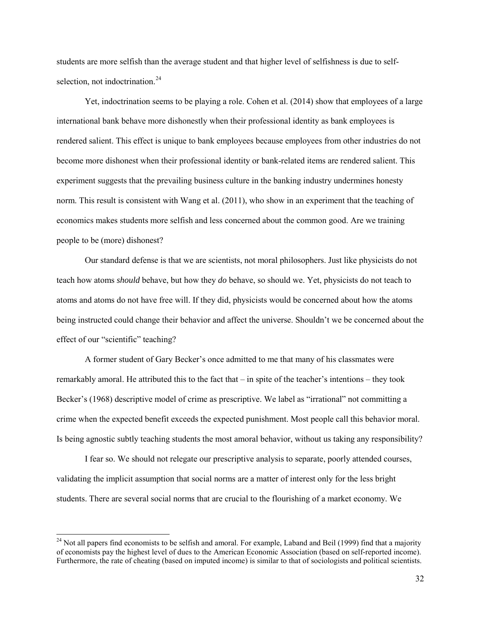students are more selfish than the average student and that higher level of selfishness is due to self-selection, not indoctrination.<sup>[24](#page-32-1)</sup>

Yet, indoctrination seems to be playing a role. Cohen et al. (2014) show that employees of a large international bank behave more dishonestly when their professional identity as bank employees is rendered salient. This effect is unique to bank employees because employees from other industries do not become more dishonest when their professional identity or bank-related items are rendered salient. This experiment suggests that the prevailing business culture in the banking industry undermines honesty norm. This result is consistent with Wang et al. (2011), who show in an experiment that the teaching of economics makes students more selfish and less concerned about the common good. Are we training people to be (more) dishonest?

Our standard defense is that we are scientists, not moral philosophers. Just like physicists do not teach how atoms *should* behave, but how they *do* behave, so should we. Yet, physicists do not teach to atoms and atoms do not have free will. If they did, physicists would be concerned about how the atoms being instructed could change their behavior and affect the universe. Shouldn't we be concerned about the effect of our "scientific" teaching?

A former student of Gary Becker's once admitted to me that many of his classmates were remarkably amoral. He attributed this to the fact that – in spite of the teacher's intentions – they took Becker's (1968) descriptive model of crime as prescriptive. We label as "irrational" not committing a crime when the expected benefit exceeds the expected punishment. Most people call this behavior moral. Is being agnostic subtly teaching students the most amoral behavior, without us taking any responsibility?

I fear so. We should not relegate our prescriptive analysis to separate, poorly attended courses, validating the implicit assumption that social norms are a matter of interest only for the less bright students. There are several social norms that are crucial to the flourishing of a market economy. We

 $\overline{a}$ 

<span id="page-32-1"></span><span id="page-32-0"></span><sup>&</sup>lt;sup>24</sup> Not all papers find economists to be selfish and amoral. For example, Laband and Beil (1999) find that a majority of economists pay the highest level of dues to the American Economic Association (based on self-reported income). Furthermore, the rate of cheating (based on imputed income) is similar to that of sociologists and political scientists.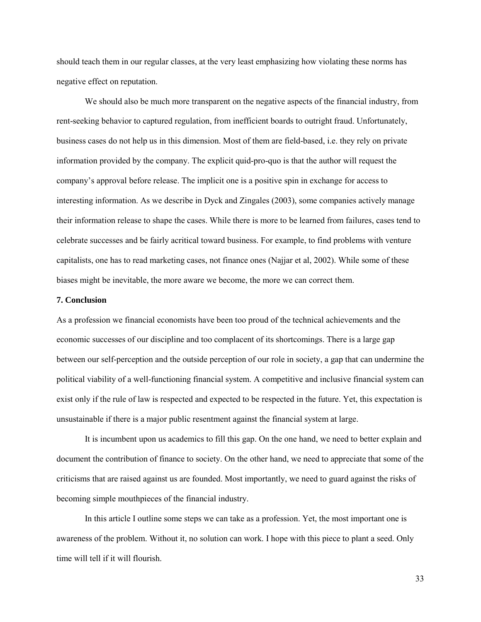should teach them in our regular classes, at the very least emphasizing how violating these norms has negative effect on reputation.

We should also be much more transparent on the negative aspects of the financial industry, from rent-seeking behavior to captured regulation, from inefficient boards to outright fraud. Unfortunately, business cases do not help us in this dimension. Most of them are field-based, i.e. they rely on private information provided by the company. The explicit quid-pro-quo is that the author will request the company's approval before release. The implicit one is a positive spin in exchange for access to interesting information. As we describe in Dyck and Zingales (2003), some companies actively manage their information release to shape the cases. While there is more to be learned from failures, cases tend to celebrate successes and be fairly acritical toward business. For example, to find problems with venture capitalists, one has to read marketing cases, not finance ones (Najjar et al, 2002). While some of these biases might be inevitable, the more aware we become, the more we can correct them.

## **7. Conclusion**

As a profession we financial economists have been too proud of the technical achievements and the economic successes of our discipline and too complacent of its shortcomings. There is a large gap between our self-perception and the outside perception of our role in society, a gap that can undermine the political viability of a well-functioning financial system. A competitive and inclusive financial system can exist only if the rule of law is respected and expected to be respected in the future. Yet, this expectation is unsustainable if there is a major public resentment against the financial system at large.

 It is incumbent upon us academics to fill this gap. On the one hand, we need to better explain and document the contribution of finance to society. On the other hand, we need to appreciate that some of the criticisms that are raised against us are founded. Most importantly, we need to guard against the risks of becoming simple mouthpieces of the financial industry.

In this article I outline some steps we can take as a profession. Yet, the most important one is awareness of the problem. Without it, no solution can work. I hope with this piece to plant a seed. Only time will tell if it will flourish.

33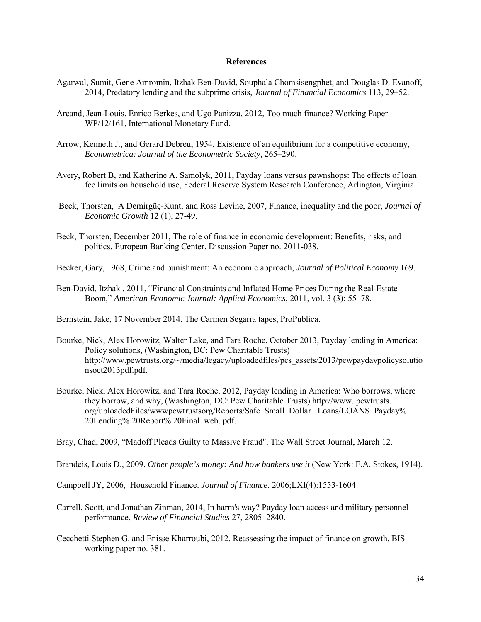#### **References**

- Agarwal, Sumit, Gene Amromin, Itzhak Ben-David, Souphala Chomsisengphet, and Douglas D. Evanoff, 2014, Predatory lending and the subprime crisis, *Journal of Financial Economics* 113, 29–52.
- Arcand, Jean-Louis, Enrico Berkes, and Ugo Panizza, 2012, Too much finance? Working Paper WP/12/161, International Monetary Fund.
- Arrow, Kenneth J., and Gerard Debreu, 1954, Existence of an equilibrium for a competitive economy, *Econometrica: Journal of the Econometric Society,* 265–290.
- Avery, Robert B, and Katherine A. Samolyk, 2011, Payday loans versus pawnshops: The effects of loan fee limits on household use, Federal Reserve System Research Conference, Arlington, Virginia.
- Beck, Thorsten, A Demirgüç-Kunt, and Ross Levine, 2007, Finance, inequality and the poor, *Journal of Economic Growth* 12 (1), 27-49.
- Beck, Thorsten, December 2011, The role of finance in economic development: Benefits, risks, and politics, European Banking Center, Discussion Paper no. 2011-038.
- Becker, Gary, 1968, Crime and punishment: An economic approach, *Journal of Political Economy* 169.
- Ben-David, Itzhak , 2011, "Financial Constraints and Inflated Home Prices During the Real-Estate Boom," *American Economic Journal: Applied Economics*, 2011, vol. 3 (3): 55–78.
- Bernstein, Jake, 17 November 2014, The Carmen Segarra tapes, ProPublica.
- Bourke, Nick, Alex Horowitz, Walter Lake, and Tara Roche, October 2013, Payday lending in America: Policy solutions, (Washington, DC: Pew Charitable Trusts) http://www.pewtrusts.org/~/media/legacy/uploadedfiles/pcs\_assets/2013/pewpaydaypolicysolutio nsoct2013pdf.pdf.
- Bourke, Nick, Alex Horowitz, and Tara Roche, 2012, Payday lending in America: Who borrows, where they borrow, and why, (Washington, DC: Pew Charitable Trusts) http://www. pewtrusts. org/uploadedFiles/wwwpewtrustsorg/Reports/Safe\_Small\_Dollar\_ Loans/LOANS\_Payday% 20Lending% 20Report% 20Final\_web. pdf.

Bray, Chad, 2009, "Madoff Pleads Guilty to Massive Fraud". The Wall Street Journal, March 12.

Brandeis, Louis D., 2009, *Other people's money: And how bankers use it* (New York: F.A. Stokes, 1914).

Campbell JY, 2006, Household Finance. *Journal of Finance*. 2006;LXI(4):1553-1604

- Carrell, Scott, and Jonathan Zinman, 2014, In harm's way? Payday loan access and military personnel performance, *Review of Financial Studies* 27, 2805–2840.
- Cecchetti Stephen G. and Enisse Kharroubi, 2012, Reassessing the impact of finance on growth, BIS working paper no. 381.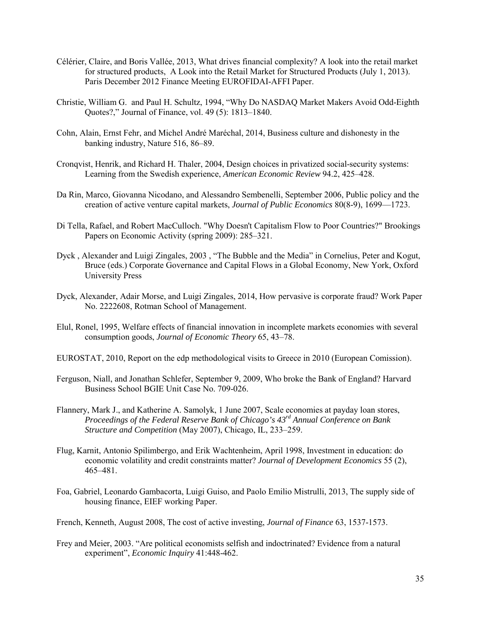- Célérier, Claire, and Boris Vallée, 2013, What drives financial complexity? A look into the retail market for structured products, A Look into the Retail Market for Structured Products (July 1, 2013). Paris December 2012 Finance Meeting EUROFIDAI-AFFI Paper.
- Christie, William G. and Paul H. Schultz, 1994, "Why Do NASDAQ Market Makers Avoid Odd-Eighth Quotes?," Journal of Finance, vol. 49 (5): 1813–1840.
- Cohn, Alain, Ernst Fehr, and Michel André Maréchal, 2014, Business culture and dishonesty in the banking industry, Nature 516, 86–89.
- Cronqvist, Henrik, and Richard H. Thaler, 2004, Design choices in privatized social-security systems: Learning from the Swedish experience, *American Economic Review* 94.2, 425–428.
- Da Rin, Marco, Giovanna Nicodano, and Alessandro Sembenelli, September 2006, Public policy and the creation of active venture capital markets, *Journal of Public Economics* 80(8-9), 1699—1723.
- Di Tella, Rafael, and Robert MacCulloch. "Why Doesn't Capitalism Flow to Poor Countries?" Brookings Papers on Economic Activity (spring 2009): 285–321.
- Dyck , Alexander and Luigi Zingales, 2003 , "The Bubble and the Media" in Cornelius, Peter and Kogut, Bruce (eds.) Corporate Governance and Capital Flows in a Global Economy, New York, Oxford University Press
- Dyck, Alexander, Adair Morse, and Luigi Zingales, 2014, How pervasive is corporate fraud? Work Paper No. 2222608, Rotman School of Management.
- Elul, Ronel, 1995, Welfare effects of financial innovation in incomplete markets economies with several consumption goods, *Journal of Economic Theory* 65, 43–78.
- EUROSTAT, 2010, Report on the edp methodological visits to Greece in 2010 (European Comission).
- Ferguson, Niall, and Jonathan Schlefer, September 9, 2009, Who broke the Bank of England? Harvard Business School BGIE Unit Case No. 709-026.
- Flannery, Mark J., and Katherine A. Samolyk, 1 June 2007, Scale economies at payday loan stores, *Proceedings of the Federal Reserve Bank of Chicago's 43rd Annual Conference on Bank Structure and Competition* (May 2007), Chicago, IL, 233–259.
- Flug, Karnit, Antonio Spilimbergo, and Erik Wachtenheim, April 1998, Investment in education: do economic volatility and credit constraints matter? *Journal of Development Economics* 55 (2), 465–481.
- Foa, Gabriel, Leonardo Gambacorta, Luigi Guiso, and Paolo Emilio Mistrulli, 2013, The supply side of housing finance, EIEF working Paper.

French, Kenneth, August 2008, The cost of active investing, *Journal of Finance* 63, 1537-1573.

Frey and Meier, 2003. "Are political economists selfish and indoctrinated? Evidence from a natural experiment", *Economic Inquiry* 41:448-462.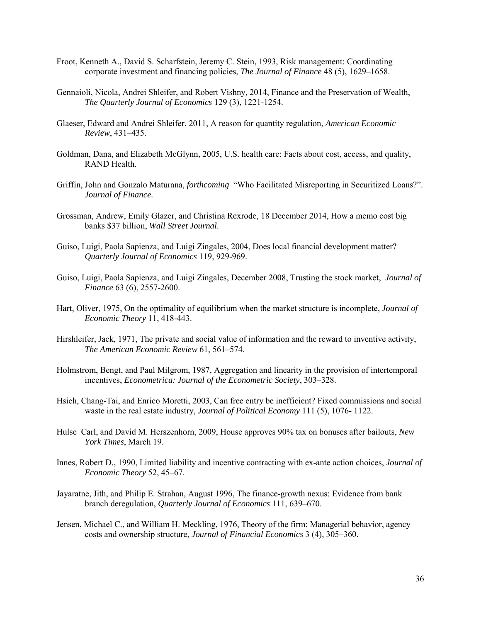- Froot, Kenneth A., David S. Scharfstein, Jeremy C. Stein, 1993, Risk management: Coordinating corporate investment and financing policies, *The Journal of Finance* 48 (5), 1629–1658.
- Gennaioli, Nicola, Andrei Shleifer, and Robert Vishny, 2014, Finance and the Preservation of Wealth, *The Quarterly Journal of Economics* 129 (3), 1221-1254.
- Glaeser, Edward and Andrei Shleifer, 2011, A reason for quantity regulation, *American Economic Review*, 431–435.
- Goldman, Dana, and Elizabeth McGlynn, 2005, U.S. health care: Facts about cost, access, and quality, RAND Health.
- Griffin, John and Gonzalo Maturana, *forthcoming* "Who Facilitated Misreporting in Securitized Loans?". *Journal of Finance.*
- Grossman, Andrew, Emily Glazer, and Christina Rexrode, 18 December 2014, How a memo cost big banks \$37 billion, *Wall Street Journal*.
- Guiso, Luigi, Paola Sapienza, and Luigi Zingales, 2004, Does local financial development matter? *Quarterly Journal of Economics* 119, 929-969.
- Guiso, Luigi, Paola Sapienza, and Luigi Zingales, December 2008, Trusting the stock market, *Journal of Finance* 63 (6), 2557-2600.
- Hart, Oliver, 1975, On the optimality of equilibrium when the market structure is incomplete, *Journal of Economic Theory* 11, 418-443.
- Hirshleifer, Jack, 1971, The private and social value of information and the reward to inventive activity, *The American Economic Review* 61, 561–574.
- Holmstrom, Bengt, and Paul Milgrom, 1987, Aggregation and linearity in the provision of intertemporal incentives, *Econometrica: Journal of the Econometric Society*, 303–328.
- Hsieh, Chang-Tai, and Enrico Moretti, 2003, Can free entry be inefficient? Fixed commissions and social waste in the real estate industry, *Journal of Political Economy* 111 (5), 1076- 1122.
- Hulse Carl, and David M. Herszenhorn, 2009, House approves 90% tax on bonuses after bailouts, *New York Times*, March 19.
- Innes, Robert D., 1990, Limited liability and incentive contracting with ex-ante action choices, *Journal of Economic Theory* 52, 45–67.
- Jayaratne, Jith, and Philip E. Strahan, August 1996, The finance-growth nexus: Evidence from bank branch deregulation, *Quarterly Journal of Economics* 111, 639–670.
- Jensen, Michael C., and William H. Meckling, 1976, Theory of the firm: Managerial behavior, agency costs and ownership structure, *Journal of Financial Economics* 3 (4), 305–360.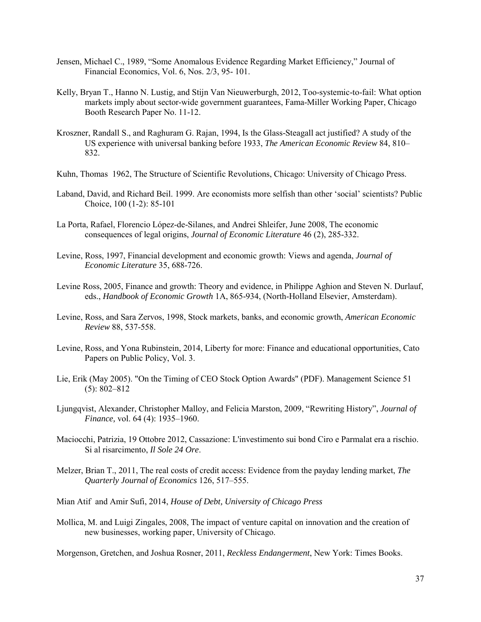- Jensen, Michael C., 1989, "Some Anomalous Evidence Regarding Market Efficiency," Journal of Financial Economics, Vol. 6, Nos. 2/3, 95- 101.
- Kelly, Bryan T., Hanno N. Lustig, and Stijn Van Nieuwerburgh, 2012, Too-systemic-to-fail: What option markets imply about sector-wide government guarantees, Fama-Miller Working Paper, Chicago Booth Research Paper No. 11-12.
- Kroszner, Randall S., and Raghuram G. Rajan, 1994, Is the Glass-Steagall act justified? A study of the US experience with universal banking before 1933, *The American Economic Review* 84, 810– 832.
- Kuhn, Thomas 1962, The Structure of Scientific Revolutions, Chicago: University of Chicago Press.
- Laband, David, and Richard Beil. 1999. Are economists more selfish than other 'social' scientists? Public Choice, 100 (1-2): 85-101
- La Porta, Rafael, Florencio López-de-Silanes, and Andrei Shleifer, June 2008, The economic consequences of legal origins, *Journal of Economic Literature* 46 (2), 285-332.
- Levine, Ross, 1997, Financial development and economic growth: Views and agenda, *Journal of Economic Literature* 35, 688-726.
- Levine Ross, 2005, Finance and growth: Theory and evidence, in Philippe Aghion and Steven N. Durlauf, eds., *Handbook of Economic Growth* 1A, 865-934, (North-Holland Elsevier, Amsterdam).
- Levine, Ross, and Sara Zervos, 1998, Stock markets, banks, and economic growth, *American Economic Review* 88, 537-558.
- Levine, Ross, and Yona Rubinstein, 2014, Liberty for more: Finance and educational opportunities, Cato Papers on Public Policy, Vol. 3.
- Lie, Erik (May 2005). "On the Timing of CEO Stock Option Awards" (PDF). Management Science 51 (5): 802–812
- Ljungqvist, Alexander, Christopher Malloy, and Felicia Marston, 2009, "Rewriting History", *Journal of Finance,* vol. 64 (4): 1935–1960.
- Maciocchi, Patrizia, 19 Ottobre 2012, Cassazione: L'investimento sui bond Ciro e Parmalat era a rischio. Si al risarcimento, *Il Sole 24 Ore*.
- Melzer, Brian T., 2011, The real costs of credit access: Evidence from the payday lending market, *The Quarterly Journal of Economics* 126, 517–555.
- Mian Atif and Amir Sufi, 2014, *House of Debt, University of Chicago Press*
- Mollica, M. and Luigi Zingales, 2008, The impact of venture capital on innovation and the creation of new businesses, working paper, University of Chicago.

Morgenson, Gretchen, and Joshua Rosner, 2011, *Reckless Endangerment*, New York: Times Books.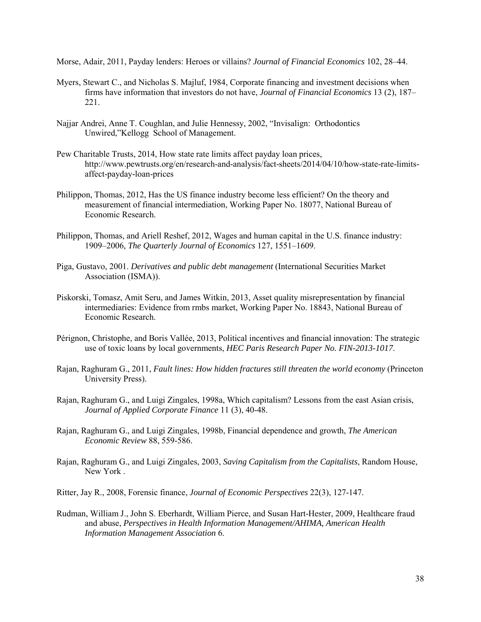Morse, Adair, 2011, Payday lenders: Heroes or villains? *Journal of Financial Economics* 102, 28–44.

- Myers, Stewart C., and Nicholas S. Majluf, 1984, Corporate financing and investment decisions when firms have information that investors do not have, *Journal of Financial Economics* 13 (2), 187– 221.
- Najjar Andrei, Anne T. Coughlan, and Julie Hennessy, 2002, "Invisalign: Orthodontics Unwired,"Kellogg School of Management.
- Pew Charitable Trusts, 2014, How state rate limits affect payday loan prices, http://www.pewtrusts.org/en/research-and-analysis/fact-sheets/2014/04/10/how-state-rate-limitsaffect-payday-loan-prices
- Philippon, Thomas, 2012, Has the US finance industry become less efficient? On the theory and measurement of financial intermediation, Working Paper No. 18077, National Bureau of Economic Research.
- Philippon, Thomas, and Ariell Reshef, 2012, Wages and human capital in the U.S. finance industry: 1909–2006, *The Quarterly Journal of Economics* 127, 1551–1609.
- Piga, Gustavo, 2001. *Derivatives and public debt management* (International Securities Market Association (ISMA)).
- Piskorski, Tomasz, Amit Seru, and James Witkin, 2013, Asset quality misrepresentation by financial intermediaries: Evidence from rmbs market, Working Paper No. 18843, National Bureau of Economic Research.
- Pérignon, Christophe, and Boris Vallée, 2013, Political incentives and financial innovation: The strategic use of toxic loans by local governments, *HEC Paris Research Paper No. FIN-2013-1017*.
- Rajan, Raghuram G., 2011, *Fault lines: How hidden fractures still threaten the world economy* (Princeton University Press).
- Rajan, Raghuram G., and Luigi Zingales, 1998a, Which capitalism? Lessons from the east Asian crisis, *Journal of Applied Corporate Finance* 11 (3), 40-48.
- Rajan, Raghuram G., and Luigi Zingales, 1998b, Financial dependence and growth, *The American Economic Review* 88, 559-586.
- Rajan, Raghuram G., and Luigi Zingales, 2003, *Saving Capitalism from the Capitalists*, Random House, New York .
- Ritter, Jay R., 2008, Forensic finance, *Journal of Economic Perspectives* 22(3), 127-147.
- Rudman, William J., John S. Eberhardt, William Pierce, and Susan Hart-Hester, 2009, Healthcare fraud and abuse, *Perspectives in Health Information Management/AHIMA, American Health Information Management Association* 6.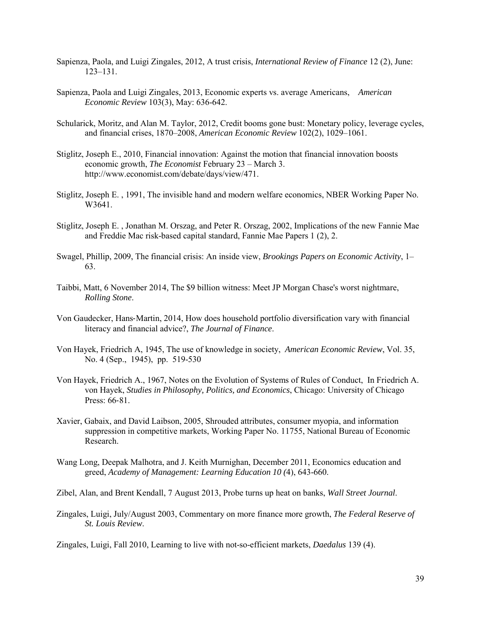- Sapienza, Paola, and Luigi Zingales, 2012, A trust crisis, *International Review of Finance* 12 (2), June: 123–131.
- Sapienza, Paola and Luigi Zingales, 2013, Economic experts vs. average Americans, *American Economic Review* 103(3), May: 636-642.
- Schularick, Moritz, and Alan M. Taylor, 2012, Credit booms gone bust: Monetary policy, leverage cycles, and financial crises, 1870–2008, *American Economic Review* 102(2), 1029–1061.
- Stiglitz, Joseph E., 2010, Financial innovation: Against the motion that financial innovation boosts economic growth, *The Economist* February 23 – March 3. http://www.economist.com/debate/days/view/471.
- Stiglitz, Joseph E. , 1991, The invisible hand and modern welfare economics, NBER Working Paper No. W3641.
- Stiglitz, Joseph E. , Jonathan M. Orszag, and Peter R. Orszag, 2002, Implications of the new Fannie Mae and Freddie Mac risk-based capital standard, Fannie Mae Papers 1 (2), 2.
- Swagel, Phillip, 2009, The financial crisis: An inside view, *Brookings Papers on Economic Activity*, 1– 63.
- Taibbi, Matt, 6 November 2014, The \$9 billion witness: Meet JP Morgan Chase's worst nightmare, *Rolling Stone*.
- Von Gaudecker, Hans‐Martin, 2014, How does household portfolio diversification vary with financial literacy and financial advice?, *The Journal of Finance*.
- Von Hayek, Friedrich A, 1945, The use of knowledge in society, *American Economic Review*, Vol. 35, No. 4 (Sep., 1945), pp. 519-530
- Von Hayek, Friedrich A., 1967, Notes on the Evolution of Systems of Rules of Conduct, In Friedrich A. von Hayek, *Studies in Philosophy, Politics, and Economics*, Chicago: University of Chicago Press: 66‐81.
- Xavier, Gabaix, and David Laibson, 2005, Shrouded attributes, consumer myopia, and information suppression in competitive markets, Working Paper No. 11755, National Bureau of Economic Research.
- Wang Long, Deepak Malhotra, and J. Keith Murnighan, December 2011, Economics education and greed, *Academy of Management: Learning Education 10 (*4), 643-660.
- Zibel, Alan, and Brent Kendall, 7 August 2013, Probe turns up heat on banks, *Wall Street Journal*.
- Zingales, Luigi, July/August 2003, Commentary on more finance more growth, *The Federal Reserve of St. Louis Review*.

Zingales, Luigi, Fall 2010, Learning to live with not-so-efficient markets, *Daedalus* 139 (4).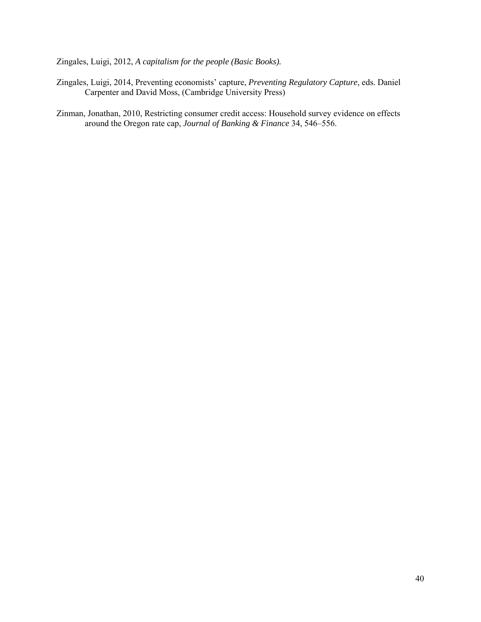Zingales, Luigi, 2012, *A capitalism for the people (Basic Books).*

- Zingales, Luigi, 2014, Preventing economists' capture, *Preventing Regulatory Capture*, eds. Daniel Carpenter and David Moss, (Cambridge University Press)
- Zinman, Jonathan, 2010, Restricting consumer credit access: Household survey evidence on effects around the Oregon rate cap, *Journal of Banking & Finance* 34, 546–556.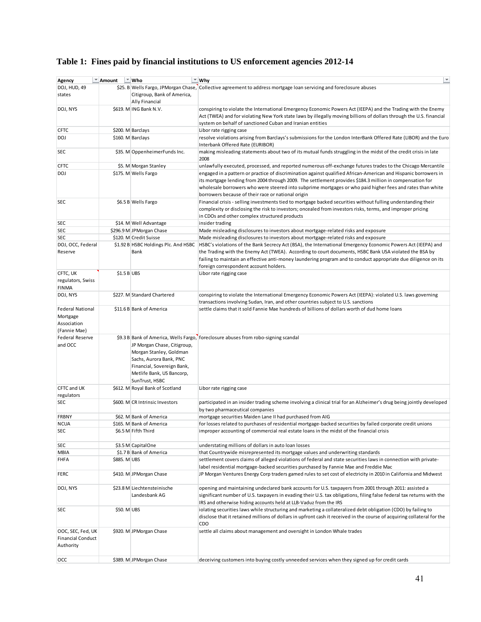|                                                                    |                                 |                                                                                                                                                                | $\overline{\phantom{a}}$                                                                                                                                                                                                                                                                                                                                                                       |
|--------------------------------------------------------------------|---------------------------------|----------------------------------------------------------------------------------------------------------------------------------------------------------------|------------------------------------------------------------------------------------------------------------------------------------------------------------------------------------------------------------------------------------------------------------------------------------------------------------------------------------------------------------------------------------------------|
| Agency                                                             | $\overline{\phantom{a}}$ Amount | ▼ Who<br>\$25. B Wells Fargo, JPMorgan Chase,                                                                                                                  | $\overline{\phantom{a}}$ Why<br>Collective agreement to address mortgage loan servicing and foreclosure abuses                                                                                                                                                                                                                                                                                 |
| DOJ, HUD, 49<br>states                                             |                                 | Citigroup, Bank of America,<br>Ally Financial                                                                                                                  |                                                                                                                                                                                                                                                                                                                                                                                                |
| DOJ, NYS                                                           |                                 | \$619. M ING Bank N.V.                                                                                                                                         | conspiring to violate the International Emergency Economic Powers Act (IEEPA) and the Trading with the Enemy<br>Act (TWEA) and for violating New York state laws by illegally moving billions of dollars through the U.S. financial<br>system on behalf of sanctioned Cuban and Iranian entities                                                                                               |
| <b>CFTC</b>                                                        |                                 | \$200. M Barclays                                                                                                                                              | Libor rate rigging case                                                                                                                                                                                                                                                                                                                                                                        |
| <b>DOJ</b>                                                         |                                 | \$160. M Barclays                                                                                                                                              | resolve violations arising from Barclays's submissions for the London InterBank Offered Rate (LIBOR) and the Euro<br>Interbank Offered Rate (EURIBOR)                                                                                                                                                                                                                                          |
| SEC                                                                |                                 | \$35. M OppenheimerFunds Inc.                                                                                                                                  | making misleading statements about two of its mutual funds struggling in the midst of the credit crisis in late<br>2008                                                                                                                                                                                                                                                                        |
| <b>CFTC</b>                                                        |                                 | \$5. M Morgan Stanley                                                                                                                                          | unlawfully executed, processed, and reported numerous off-exchange futures trades to the Chicago Mercantile                                                                                                                                                                                                                                                                                    |
| DOJ                                                                |                                 | \$175. M Wells Fargo                                                                                                                                           | engaged in a pattern or practice of discrimination against qualified African-American and Hispanic borrowers in<br>its mortgage lending from 2004 through 2009. The settlement provides \$184.3 million in compensation for<br>wholesale borrowers who were steered into subprime mortgages or who paid higher fees and rates than white<br>borrowers because of their race or national origin |
| <b>SEC</b>                                                         |                                 | \$6.5 B Wells Fargo                                                                                                                                            | Financial crisis - selling investments tied to mortgage backed securities without fulling understanding their<br>complexity or disclosing the risk to investors; oncealed from investors risks, terms, and improper pricing<br>in CDOs and other complex structured products                                                                                                                   |
| SEC                                                                |                                 | \$14. M Well Advantage                                                                                                                                         | insider trading                                                                                                                                                                                                                                                                                                                                                                                |
| <b>SEC</b>                                                         |                                 | \$296.9 M JPMorgan Chase                                                                                                                                       | Made misleading disclosures to investors about mortgage-related risks and exposure                                                                                                                                                                                                                                                                                                             |
| SEC                                                                |                                 | \$120. M Credit Suisse                                                                                                                                         | Made misleading disclosures to investors about mortgage-related risks and exposure                                                                                                                                                                                                                                                                                                             |
| DOJ, OCC, Federal<br>Reserve                                       |                                 | \$1.92 B HSBC Holdings Plc. And HSBC<br>Bank                                                                                                                   | HSBC's violations of the Bank Secrecy Act (BSA), the International Emergency Economic Powers Act (IEEPA) and<br>the Trading with the Enemy Act (TWEA). According to court documents, HSBC Bank USA violated the BSA by<br>failing to maintain an effective anti-money laundering program and to conduct appropriate due diligence on its<br>foreign correspondent account holders.             |
| CFTC, UK<br>regulators, Swiss<br><b>FINMA</b>                      | \$1.5 B UBS                     |                                                                                                                                                                | Libor rate rigging case                                                                                                                                                                                                                                                                                                                                                                        |
| DOJ, NYS                                                           |                                 | \$227. M Standard Chartered                                                                                                                                    | conspiring to violate the International Emergency Economic Powers Act (IEEPA): violated U.S. laws governing<br>transactions involving Sudan, Iran, and other countries subject to U.S. sanctions                                                                                                                                                                                               |
| <b>Federal National</b><br>Mortgage<br>Association<br>(Fannie Mae) |                                 | \$11.6 B Bank of America                                                                                                                                       | settle claims that it sold Fannie Mae hundreds of billions of dollars worth of dud home loans                                                                                                                                                                                                                                                                                                  |
| Federal Reserve<br>and OCC                                         |                                 | JP Morgan Chase, Citigroup,<br>Morgan Stanley, Goldman<br>Sachs, Aurora Bank, PNC<br>Financial, Sovereign Bank,<br>Metlife Bank, US Bancorp,<br>SunTrust, HSBC | \$9.3 B Bank of America, Wells Fargo, foreclosure abuses from robo-signing scandal                                                                                                                                                                                                                                                                                                             |
| CFTC and UK<br>regulators                                          |                                 | \$612. M Royal Bank of Scotland                                                                                                                                | Libor rate rigging case                                                                                                                                                                                                                                                                                                                                                                        |
| <b>SEC</b>                                                         |                                 | \$600. M CR Intrinsic Investors                                                                                                                                | participated in an insider trading scheme involving a clinical trial for an Alzheimer's drug being jointly developed<br>by two pharmaceutical companies                                                                                                                                                                                                                                        |
| FRBNY                                                              |                                 | \$62. M Bank of America                                                                                                                                        | mortgage securities Maiden Lane II had purchased from AIG                                                                                                                                                                                                                                                                                                                                      |
| <b>NCUA</b>                                                        |                                 | \$165. M Bank of America                                                                                                                                       | for losses related to purchases of residential mortgage-backed securities by failed corporate credit unions                                                                                                                                                                                                                                                                                    |
| SEC                                                                |                                 | \$6.5 M Fifth Third                                                                                                                                            | improper accounting of commercial real estate loans in the midst of the financial crisis                                                                                                                                                                                                                                                                                                       |
| SEC                                                                |                                 | \$3.5 M CapitalOne                                                                                                                                             | understating millions of dollars in auto loan losses                                                                                                                                                                                                                                                                                                                                           |
| MBIA                                                               |                                 | \$1.7 B Bank of America                                                                                                                                        | that Countrywide misrepresented its mortgage values and underwriting standards                                                                                                                                                                                                                                                                                                                 |
| <b>FHFA</b>                                                        | \$885. M UBS                    |                                                                                                                                                                | settlement covers claims of alleged violations of federal and state securities laws in connection with private-<br>label residential mortgage-backed securities purchased by Fannie Mae and Freddie Mac                                                                                                                                                                                        |
| <b>FERC</b>                                                        |                                 | \$410. M JPMorgan Chase                                                                                                                                        | JP Morgan Ventures Energy Corp traders gamed rules to set cost of electricity in 2010 in California and Midwest                                                                                                                                                                                                                                                                                |
| DOJ, NYS                                                           |                                 | \$23.8 M Liechtensteinische<br>Landesbank AG                                                                                                                   | opening and maintaining undeclared bank accounts for U.S. taxpayers from 2001 through 2011: assisted a<br>significant number of U.S. taxpayers in evading their U.S. tax obligations, filing false federal tax returns with the<br>IRS and otherwise hiding accounts held at LLB-Vaduz from the IRS                                                                                            |
| SEC                                                                | \$50. M UBS                     |                                                                                                                                                                | iolating securities laws while structuring and marketing a collateralized debt obligation (CDO) by failing to<br>disclose that it retained millions of dollars in upfront cash it received in the course of acquiring collateral for the<br>CDO                                                                                                                                                |
| OOC, SEC, Fed, UK<br><b>Financial Conduct</b><br>Authority         |                                 | \$920. M JPMorgan Chase                                                                                                                                        | settle all claims about management and oversight in London Whale trades                                                                                                                                                                                                                                                                                                                        |
| осс                                                                |                                 | \$389. M JPMorgan Chase                                                                                                                                        | deceiving customers into buying costly unneeded services when they signed up for credit cards                                                                                                                                                                                                                                                                                                  |

# **Table 1: Fines paid by financial institutions to US enforcement agencies 2012-14**